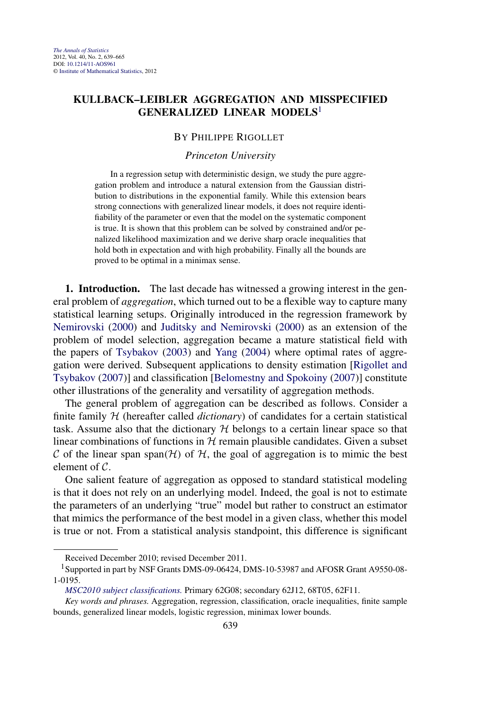## **KULLBACK–LEIBLER AGGREGATION AND MISSPECIFIED GENERALIZED LINEAR MODELS**<sup>1</sup>

### BY PHILIPPE RIGOLLET

### *Princeton University*

In a regression setup with deterministic design, we study the pure aggregation problem and introduce a natural extension from the Gaussian distribution to distributions in the exponential family. While this extension bears strong connections with generalized linear models, it does not require identifiability of the parameter or even that the model on the systematic component is true. It is shown that this problem can be solved by constrained and/or penalized likelihood maximization and we derive sharp oracle inequalities that hold both in expectation and with high probability. Finally all the bounds are proved to be optimal in a minimax sense.

**1. Introduction.** The last decade has witnessed a growing interest in the general problem of *aggregation*, which turned out to be a flexible way to capture many statistical learning setups. Originally introduced in the regression framework by [Nemirovski](#page-25-0) [\(2000\)](#page-25-0) and [Juditsky and Nemirovski](#page-25-0) [\(2000\)](#page-25-0) as an extension of the problem of model selection, aggregation became a mature statistical field with the papers of [Tsybakov](#page-25-0) [\(2003\)](#page-25-0) and [Yang](#page-26-0) [\(2004\)](#page-26-0) where optimal rates of aggregation were derived. Subsequent applications to density estimation [\[Rigollet and](#page-25-0) [Tsybakov](#page-25-0) [\(2007\)](#page-25-0)] and classification [\[Belomestny and Spokoiny](#page-24-0) [\(2007\)](#page-24-0)] constitute other illustrations of the generality and versatility of aggregation methods.

The general problem of aggregation can be described as follows. Consider a finite family  $H$  (hereafter called *dictionary*) of candidates for a certain statistical task. Assume also that the dictionary  $H$  belongs to a certain linear space so that linear combinations of functions in  $H$  remain plausible candidates. Given a subset C of the linear span span $(H)$  of H, the goal of aggregation is to mimic the best element of C.

One salient feature of aggregation as opposed to standard statistical modeling is that it does not rely on an underlying model. Indeed, the goal is not to estimate the parameters of an underlying "true" model but rather to construct an estimator that mimics the performance of the best model in a given class, whether this model is true or not. From a statistical analysis standpoint, this difference is significant

Received December 2010; revised December 2011.

<sup>1</sup>Supported in part by NSF Grants DMS-09-06424, DMS-10-53987 and AFOSR Grant A9550-08- 1-0195.

*[MSC2010 subject classifications.](http://www.ams.org/mathscinet/msc/msc2010.html)* Primary 62G08; secondary 62J12, 68T05, 62F11.

*Key words and phrases.* Aggregation, regression, classification, oracle inequalities, finite sample bounds, generalized linear models, logistic regression, minimax lower bounds.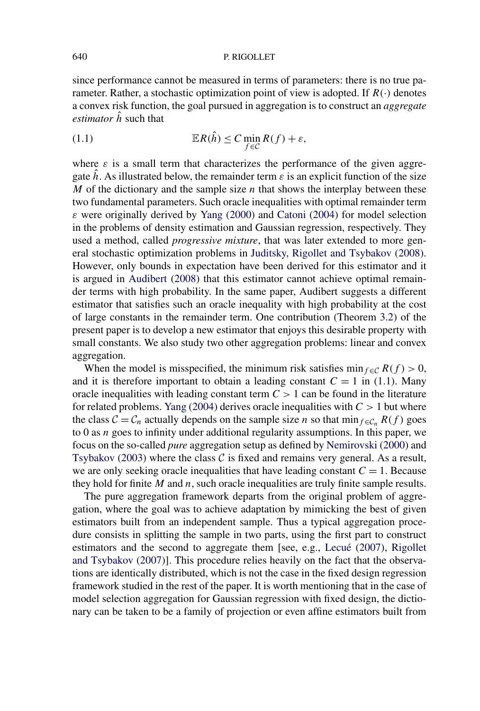since performance cannot be measured in terms of parameters: there is no true parameter. Rather, a stochastic optimization point of view is adopted. If  $R(\cdot)$  denotes a convex risk function, the goal pursued in aggregation is to construct an *aggregate estimator*  $\hat{h}$  such that

(1.1) 
$$
\mathbb{E}R(\hat{h}) \leq C \min_{f \in \mathcal{C}} R(f) + \varepsilon,
$$

where  $\varepsilon$  is a small term that characterizes the performance of the given aggregate  $\hat{h}$ . As illustrated below, the remainder term  $\varepsilon$  is an explicit function of the size *M* of the dictionary and the sample size *n* that shows the interplay between these two fundamental parameters. Such oracle inequalities with optimal remainder term *ε* were originally derived by [Yang](#page-26-0) [\(2000\)](#page-26-0) and [Catoni](#page-24-0) [\(2004\)](#page-24-0) for model selection in the problems of density estimation and Gaussian regression, respectively. They used a method, called *progressive mixture*, that was later extended to more general stochastic optimization problems in [Juditsky, Rigollet and Tsybakov](#page-25-0) [\(2008\)](#page-25-0). However, only bounds in expectation have been derived for this estimator and it is argued in [Audibert](#page-24-0) [\(2008\)](#page-24-0) that this estimator cannot achieve optimal remainder terms with high probability. In the same paper, Audibert suggests a different estimator that satisfies such an oracle inequality with high probability at the cost of large constants in the remainder term. One contribution (Theorem [3.2\)](#page-8-0) of the present paper is to develop a new estimator that enjoys this desirable property with small constants. We also study two other aggregation problems: linear and convex aggregation.

When the model is misspecified, the minimum risk satisfies min<sub>f∈C</sub>  $R(f) > 0$ , and it is therefore important to obtain a leading constant  $C = 1$  in (1.1). Many oracle inequalities with leading constant term  $C > 1$  can be found in the literature for related problems. [Yang](#page-26-0) [\(2004\)](#page-26-0) derives oracle inequalities with *C >* 1 but where the class  $C = C_n$  actually depends on the sample size *n* so that min<sub>f $\epsilon \epsilon_n$ </sub>  $R(f)$  goes to 0 as *n* goes to infinity under additional regularity assumptions. In this paper, we focus on the so-called *pure* aggregation setup as defined by [Nemirovski](#page-25-0) [\(2000\)](#page-25-0) and [Tsybakov](#page-25-0) [\(2003\)](#page-25-0) where the class  $C$  is fixed and remains very general. As a result, we are only seeking oracle inequalities that have leading constant  $C = 1$ . Because they hold for finite *M* and *n*, such oracle inequalities are truly finite sample results.

The pure aggregation framework departs from the original problem of aggregation, where the goal was to achieve adaptation by mimicking the best of given estimators built from an independent sample. Thus a typical aggregation procedure consists in splitting the sample in two parts, using the first part to construct estimators and the second to aggregate them [see, e.g., [Lecué](#page-25-0) [\(2007\)](#page-25-0), [Rigollet](#page-25-0) [and Tsybakov](#page-25-0) [\(2007\)](#page-25-0)]. This procedure relies heavily on the fact that the observations are identically distributed, which is not the case in the fixed design regression framework studied in the rest of the paper. It is worth mentioning that in the case of model selection aggregation for Gaussian regression with fixed design, the dictionary can be taken to be a family of projection or even affine estimators built from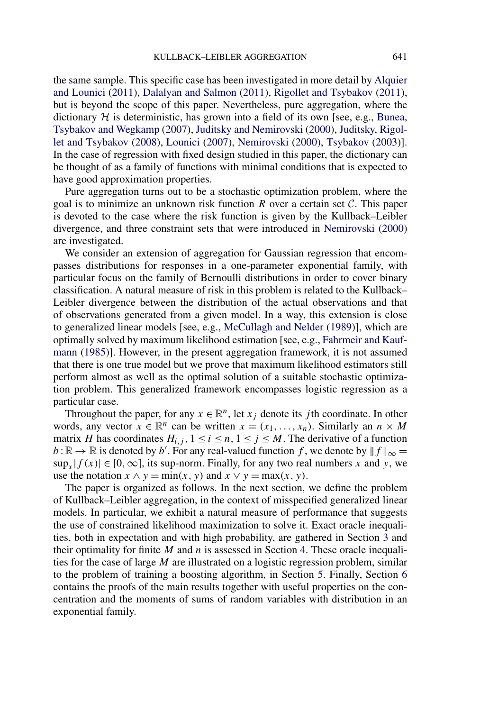the same sample. This specific case has been investigated in more detail by [Alquier](#page-24-0) [and Lounici](#page-24-0) [\(2011\)](#page-24-0), [Dalalyan and Salmon](#page-24-0) [\(2011\)](#page-24-0), [Rigollet and Tsybakov](#page-25-0) [\(2011\)](#page-25-0), but is beyond the scope of this paper. Nevertheless, pure aggregation, where the dictionary  $H$  is deterministic, has grown into a field of its own [see, e.g., [Bunea,](#page-24-0) [Tsybakov and Wegkamp](#page-24-0) [\(2007\)](#page-24-0), [Juditsky and Nemirovski](#page-25-0) [\(2000\)](#page-25-0), [Juditsky, Rigol](#page-25-0)[let and Tsybakov](#page-25-0) [\(2008\)](#page-25-0), [Lounici](#page-25-0) [\(2007\)](#page-25-0), [Nemirovski](#page-25-0) [\(2000\)](#page-25-0), [Tsybakov](#page-25-0) [\(2003\)](#page-25-0)]. In the case of regression with fixed design studied in this paper, the dictionary can be thought of as a family of functions with minimal conditions that is expected to have good approximation properties.

Pure aggregation turns out to be a stochastic optimization problem, where the goal is to minimize an unknown risk function  $R$  over a certain set  $C$ . This paper is devoted to the case where the risk function is given by the Kullback–Leibler divergence, and three constraint sets that were introduced in [Nemirovski](#page-25-0) [\(2000\)](#page-25-0) are investigated.

We consider an extension of aggregation for Gaussian regression that encompasses distributions for responses in a one-parameter exponential family, with particular focus on the family of Bernoulli distributions in order to cover binary classification. A natural measure of risk in this problem is related to the Kullback– Leibler divergence between the distribution of the actual observations and that of observations generated from a given model. In a way, this extension is close to generalized linear models [see, e.g., [McCullagh and Nelder](#page-25-0) [\(1989\)](#page-25-0)], which are optimally solved by maximum likelihood estimation [see, e.g., [Fahrmeir and Kauf](#page-24-0)[mann](#page-24-0) [\(1985\)](#page-24-0)]. However, in the present aggregation framework, it is not assumed that there is one true model but we prove that maximum likelihood estimators still perform almost as well as the optimal solution of a suitable stochastic optimization problem. This generalized framework encompasses logistic regression as a particular case.

Throughout the paper, for any  $x \in \mathbb{R}^n$ , let  $x_j$  denote its *j* th coordinate. In other words, any vector  $x \in \mathbb{R}^n$  can be written  $x = (x_1, \ldots, x_n)$ . Similarly an  $n \times M$ matrix *H* has coordinates  $H_{i,j}$ ,  $1 \le i \le n, 1 \le j \le M$ . The derivative of a function  $b:\mathbb{R}\to\mathbb{R}$  is denoted by *b'*. For any real-valued function *f*, we denote by  $||f||_{\infty} =$ sup<sub>*x*</sub> $|f(x)| \in [0, \infty]$ , its sup-norm. Finally, for any two real numbers *x* and *y*, we use the notation  $x \wedge y = \min(x, y)$  and  $x \vee y = \max(x, y)$ .

The paper is organized as follows. In the next section, we define the problem of Kullback–Leibler aggregation, in the context of misspecified generalized linear models. In particular, we exhibit a natural measure of performance that suggests the use of constrained likelihood maximization to solve it. Exact oracle inequalities, both in expectation and with high probability, are gathered in Section [3](#page-6-0) and their optimality for finite *M* and *n* is assessed in Section [4.](#page-12-0) These oracle inequalities for the case of large *M* are illustrated on a logistic regression problem, similar to the problem of training a boosting algorithm, in Section [5.](#page-14-0) Finally, Section [6](#page-17-0) contains the proofs of the main results together with useful properties on the concentration and the moments of sums of random variables with distribution in an exponential family.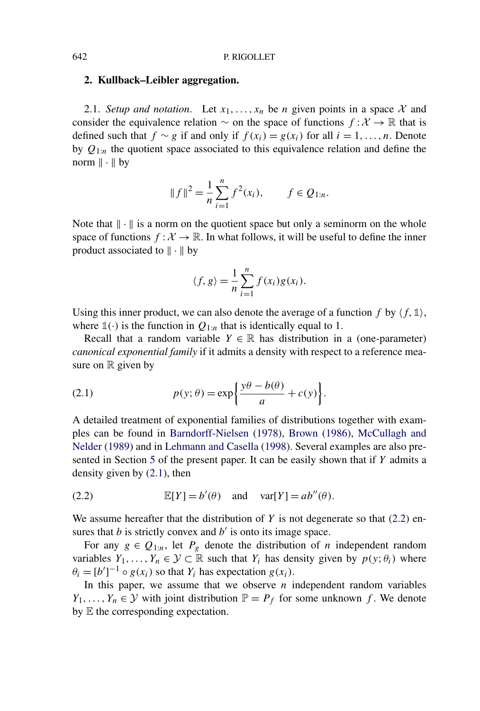### <span id="page-3-0"></span>**2. Kullback–Leibler aggregation.**

2.1. *Setup and notation*. Let  $x_1, \ldots, x_n$  be *n* given points in a space X and consider the equivalence relation  $\sim$  on the space of functions  $f: \mathcal{X} \to \mathbb{R}$  that is defined such that *f* ∼ *g* if and only if *f*( $x_i$ ) =  $g(x_i)$  for all  $i = 1, ..., n$ . Denote by  $Q_{1:n}$  the quotient space associated to this equivalence relation and define the norm  $\|\cdot\|$  by

$$
||f||^2 = \frac{1}{n} \sum_{i=1}^n f^2(x_i), \qquad f \in Q_{1:n}.
$$

Note that  $\|\cdot\|$  is a norm on the quotient space but only a seminorm on the whole space of functions  $f : \mathcal{X} \to \mathbb{R}$ . In what follows, it will be useful to define the inner product associated to  $\|\cdot\|$  by

$$
\langle f, g \rangle = \frac{1}{n} \sum_{i=1}^{n} f(x_i) g(x_i).
$$

Using this inner product, we can also denote the average of a function  $f$  by  $\langle f, \mathbb{1} \rangle$ , where  $\mathbb{1}(\cdot)$  is the function in  $Q_{1:n}$  that is identically equal to 1.

Recall that a random variable  $Y \in \mathbb{R}$  has distribution in a (one-parameter) *canonical exponential family* if it admits a density with respect to a reference measure on  $\mathbb R$  given by

(2.1) 
$$
p(y; \theta) = \exp\left\{\frac{y\theta - b(\theta)}{a} + c(y)\right\}.
$$

A detailed treatment of exponential families of distributions together with examples can be found in [Barndorff-Nielsen](#page-24-0) [\(1978\)](#page-24-0), [Brown](#page-24-0) [\(1986\)](#page-24-0), [McCullagh and](#page-25-0) [Nelder](#page-25-0) [\(1989\)](#page-25-0) and in [Lehmann and Casella](#page-25-0) [\(1998\)](#page-25-0). Several examples are also presented in Section [5](#page-14-0) of the present paper. It can be easily shown that if *Y* admits a density given by (2.1), then

(2.2) 
$$
\mathbb{E}[Y] = b'(\theta) \text{ and } \text{var}[Y] = ab''(\theta).
$$

We assume hereafter that the distribution of *Y* is not degenerate so that (2.2) ensures that  $b$  is strictly convex and  $b'$  is onto its image space.

For any  $g \in Q_{1:n}$ , let  $P_g$  denote the distribution of *n* independent random variables  $Y_1, \ldots, Y_n \in \mathcal{Y} \subset \mathbb{R}$  such that  $Y_i$  has density given by  $p(y; \theta_i)$  where  $\theta_i = [b']^{-1} \circ g(x_i)$  so that  $Y_i$  has expectation  $g(x_i)$ .

In this paper, we assume that we observe *n* independent random variables *Y*<sub>1</sub>*,...,Y*<sub>n</sub>  $\in$  *Y* with joint distribution  $\mathbb{P} = P_f$  for some unknown *f*. We denote by E the corresponding expectation.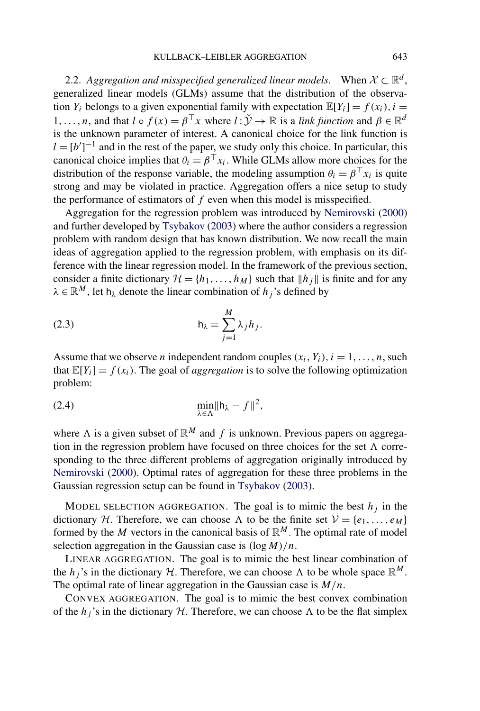<span id="page-4-0"></span>2.2. *Aggregation and misspecified generalized linear models*. When  $X \subset \mathbb{R}^d$ , generalized linear models (GLMs) assume that the distribution of the observation  $Y_i$  belongs to a given exponential family with expectation  $\mathbb{E}[Y_i] = f(x_i)$ ,  $i =$ 1,...,n, and that  $l \circ f(x) = \beta^\top x$  where  $l : \check{Y} \to \mathbb{R}$  is a *link function* and  $\beta \in \mathbb{R}^d$ is the unknown parameter of interest. A canonical choice for the link function is  $l = [b']^{-1}$  and in the rest of the paper, we study only this choice. In particular, this canonical choice implies that  $\theta_i = \beta^\top x_i$ . While GLMs allow more choices for the distribution of the response variable, the modeling assumption  $\theta_i = \beta^\top x_i$  is quite strong and may be violated in practice. Aggregation offers a nice setup to study the performance of estimators of *f* even when this model is misspecified.

Aggregation for the regression problem was introduced by [Nemirovski](#page-25-0) [\(2000\)](#page-25-0) and further developed by [Tsybakov](#page-25-0) [\(2003\)](#page-25-0) where the author considers a regression problem with random design that has known distribution. We now recall the main ideas of aggregation applied to the regression problem, with emphasis on its difference with the linear regression model. In the framework of the previous section, consider a finite dictionary  $\mathcal{H} = \{h_1, \ldots, h_M\}$  such that  $\|h_j\|$  is finite and for any  $\lambda \in \mathbb{R}^M$ , let  $h_{\lambda}$  denote the linear combination of  $h_j$ 's defined by

(2.3) 
$$
h_{\lambda} = \sum_{j=1}^{M} \lambda_j h_j.
$$

Assume that we observe *n* independent random couples  $(x_i, Y_i)$ ,  $i = 1, \ldots, n$ , such that  $\mathbb{E}[Y_i] = f(x_i)$ . The goal of *aggregation* is to solve the following optimization problem:

$$
\min_{\lambda \in \Lambda} \|\mathsf{h}_{\lambda} - f\|^2,
$$

where  $\Lambda$  is a given subset of  $\mathbb{R}^M$  and f is unknown. Previous papers on aggregation in the regression problem have focused on three choices for the set  $\Lambda$  corresponding to the three different problems of aggregation originally introduced by [Nemirovski](#page-25-0) [\(2000\)](#page-25-0). Optimal rates of aggregation for these three problems in the Gaussian regression setup can be found in [Tsybakov](#page-25-0) [\(2003\)](#page-25-0).

MODEL SELECTION AGGREGATION. The goal is to mimic the best  $h_i$  in the dictionary H. Therefore, we can choose  $\Lambda$  to be the finite set  $V = \{e_1, \ldots, e_M\}$ formed by the *M* vectors in the canonical basis of  $\mathbb{R}^M$ . The optimal rate of model selection aggregation in the Gaussian case is *(*log*M)/n*.

LINEAR AGGREGATION. The goal is to mimic the best linear combination of the *h<sub>j</sub>*'s in the dictionary H. Therefore, we can choose  $\Lambda$  to be whole space  $\mathbb{R}^M$ . The optimal rate of linear aggregation in the Gaussian case is *M/n*.

CONVEX AGGREGATION. The goal is to mimic the best convex combination of the  $h_j$ 's in the dictionary H. Therefore, we can choose  $\Lambda$  to be the flat simplex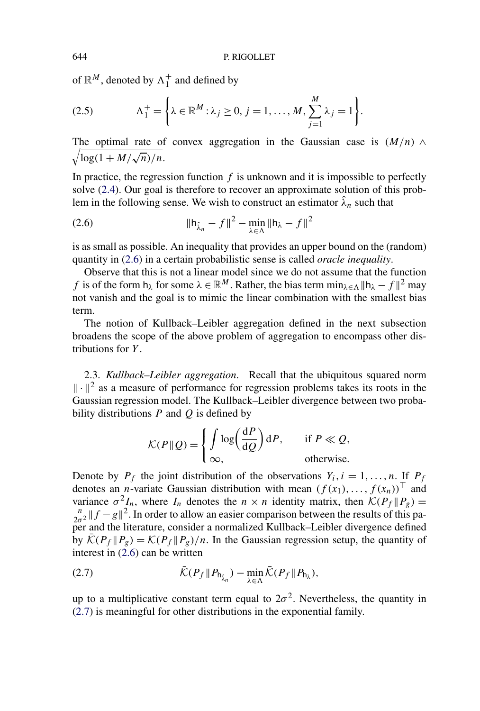of  $\mathbb{R}^M$ , denoted by  $\Lambda_1^+$  and defined by

(2.5) 
$$
\Lambda_1^+ = \left\{ \lambda \in \mathbb{R}^M : \lambda_j \geq 0, j = 1, ..., M, \sum_{j=1}^M \lambda_j = 1 \right\}.
$$

The optimal rate of convex aggregation in the Gaussian case is  $(M/n) \wedge$  $\sqrt{\log(1 + M/\sqrt{n})/n}$ .

In practice, the regression function  $f$  is unknown and it is impossible to perfectly solve [\(2.4\)](#page-4-0). Our goal is therefore to recover an approximate solution of this problem in the following sense. We wish to construct an estimator  $\hat{\lambda}_n$  such that

(2.6) 
$$
\|\mathbf{h}_{\hat{\lambda}_n} - f\|^2 - \min_{\lambda \in \Lambda} \|\mathbf{h}_{\lambda} - f\|^2
$$

is as small as possible. An inequality that provides an upper bound on the (random) quantity in (2.6) in a certain probabilistic sense is called *oracle inequality*.

Observe that this is not a linear model since we do not assume that the function *f* is of the form  $h_{\lambda}$  for some  $\lambda \in \mathbb{R}^M$ . Rather, the bias term  $\min_{\lambda \in \Lambda} ||h_{\lambda} - f||^2$  may not vanish and the goal is to mimic the linear combination with the smallest bias term.

The notion of Kullback–Leibler aggregation defined in the next subsection broadens the scope of the above problem of aggregation to encompass other distributions for *Y* .

2.3. *Kullback–Leibler aggregation*. Recall that the ubiquitous squared norm  $\|\cdot\|^2$  as a measure of performance for regression problems takes its roots in the Gaussian regression model. The Kullback–Leibler divergence between two probability distributions *P* and *Q* is defined by

$$
\mathcal{K}(P \| Q) = \begin{cases} \int \log \left( \frac{dP}{dQ} \right) dP, & \text{if } P \ll Q, \\ \infty, & \text{otherwise.} \end{cases}
$$

Denote by  $P_f$  the joint distribution of the observations  $Y_i$ ,  $i = 1, \ldots, n$ . If  $P_f$ denotes an *n*-variate Gaussian distribution with mean  $(f(x_1),...,f(x_n))^T$  and variance  $\sigma^2 I_n$ , where  $I_n$  denotes the  $n \times n$  identity matrix, then  $\mathcal{K}(P_f \| P_g) = \frac{n}{n} \| f - g \|^2$ . In order to allow an easier comparison between the results of this pa- $\frac{n}{2\sigma^2}$   $\|f - g\|^2$ . In order to allow an easier comparison between the results of this paper and the literature, consider a normalized Kullback–Leibler divergence defined by  $\bar{\mathcal{K}}(P_f \| P_g) = \mathcal{K}(P_f \| P_g) / n$ . In the Gaussian regression setup, the quantity of interest in (2.6) can be written

(2.7) 
$$
\bar{\mathcal{K}}(P_f \| P_{h_{\hat{\lambda}_n}}) - \min_{\lambda \in \Lambda} \bar{\mathcal{K}}(P_f \| P_{h_{\lambda}}),
$$

up to a multiplicative constant term equal to  $2\sigma^2$ . Nevertheless, the quantity in (2.7) is meaningful for other distributions in the exponential family.

<span id="page-5-0"></span>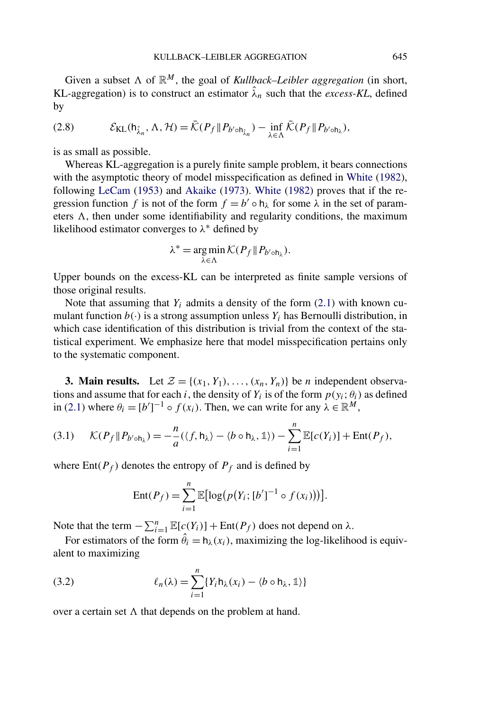<span id="page-6-0"></span>Given a subset  $\Lambda$  of  $\mathbb{R}^M$ , the goal of *Kullback–Leibler aggregation* (in short, KL-aggregation) is to construct an estimator  $\hat{\lambda}_n$  such that the *excess-KL*, defined by

(2.8) 
$$
\mathcal{E}_{KL}(\mathsf{h}_{\hat{\lambda}_n}, \Lambda, \mathcal{H}) = \bar{\mathcal{K}}(P_f \| P_{b' \circ \mathsf{h}_{\hat{\lambda}_n}}) - \inf_{\lambda \in \Lambda} \bar{\mathcal{K}}(P_f \| P_{b' \circ \mathsf{h}_{\lambda}}),
$$

is as small as possible.

Whereas KL-aggregation is a purely finite sample problem, it bears connections with the asymptotic theory of model misspecification as defined in [White](#page-26-0) [\(1982\)](#page-26-0), following [LeCam](#page-25-0) [\(1953\)](#page-25-0) and [Akaike](#page-24-0) [\(1973\)](#page-24-0). [White](#page-26-0) [\(1982\)](#page-26-0) proves that if the regression function *f* is not of the form  $f = b' \circ h_\lambda$  for some  $\lambda$  in the set of parameters  $\Lambda$ , then under some identifiability and regularity conditions, the maximum likelihood estimator converges to *λ*<sup>∗</sup> defined by

$$
\lambda^* = \underset{\lambda \in \Lambda}{\arg \min} \mathcal{K}(P_f \| P_{b' \circ h_{\lambda}}).
$$

Upper bounds on the excess-KL can be interpreted as finite sample versions of those original results.

Note that assuming that  $Y_i$  admits a density of the form  $(2.1)$  with known cumulant function  $b(\cdot)$  is a strong assumption unless  $Y_i$  has Bernoulli distribution, in which case identification of this distribution is trivial from the context of the statistical experiment. We emphasize here that model misspecification pertains only to the systematic component.

**3. Main results.** Let  $\mathcal{Z} = \{(x_1, Y_1), \ldots, (x_n, Y_n)\}\$  be *n* independent observations and assume that for each *i*, the density of  $Y_i$  is of the form  $p(y_i; \theta_i)$  as defined in [\(2.1\)](#page-3-0) where  $\theta_i = [b']^{-1} \circ f(x_i)$ . Then, we can write for any  $\lambda \in \mathbb{R}^M$ ,

(3.1) 
$$
\mathcal{K}(P_f \| P_{b' \circ h_\lambda}) = -\frac{n}{a} (\langle f, h_\lambda \rangle - \langle b \circ h_\lambda, \mathbb{1} \rangle) - \sum_{i=1}^n \mathbb{E}[c(Y_i)] + \text{Ent}(P_f),
$$

where  $Ent(P_f)$  denotes the entropy of  $P_f$  and is defined by

Ent
$$
(P_f)
$$
 =  $\sum_{i=1}^{n} \mathbb{E}[\log(p(Y_i; [b']^{-1} \circ f(x_i)))]$ .

Note that the term  $-\sum_{i=1}^{n} \mathbb{E}[c(Y_i)] + \text{Ent}(P_f)$  does not depend on λ.

For estimators of the form  $\hat{\theta}_i = h_\lambda(x_i)$ , maximizing the log-likelihood is equivalent to maximizing

(3.2) 
$$
\ell_n(\lambda) = \sum_{i=1}^n \{ Y_i \mathsf{h}_{\lambda}(x_i) - \langle b \circ \mathsf{h}_{\lambda}, \mathbb{1} \rangle \}
$$

over a certain set  $\Lambda$  that depends on the problem at hand.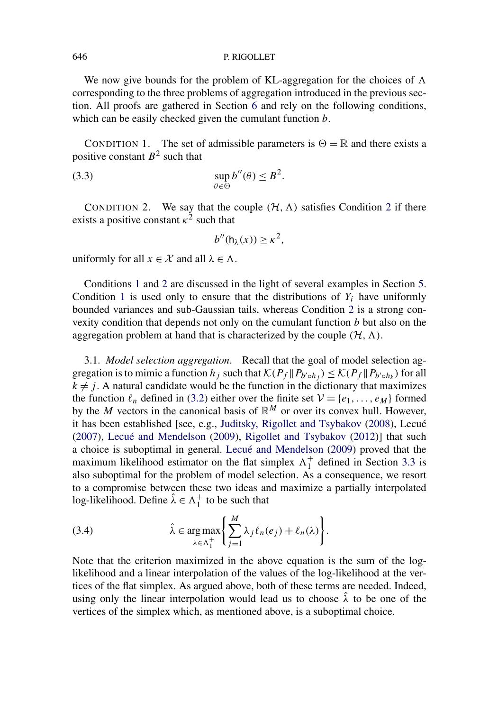We now give bounds for the problem of KL-aggregation for the choices of  $\Lambda$ corresponding to the three problems of aggregation introduced in the previous section. All proofs are gathered in Section [6](#page-17-0) and rely on the following conditions, which can be easily checked given the cumulant function *b*.

CONDITION 1. The set of admissible parameters is  $\Theta = \mathbb{R}$  and there exists a positive constant  $B^2$  such that

(3.3) 
$$
\sup_{\theta \in \Theta} b''(\theta) \leq B^2.
$$

CONDITION 2. We say that the couple  $(H, \Lambda)$  satisfies Condition 2 if there exists a positive constant  $\kappa^2$  such that

$$
b''(\mathsf{h}_{\lambda}(x)) \geq \kappa^2,
$$

uniformly for all  $x \in \mathcal{X}$  and all  $\lambda \in \Lambda$ .

Conditions 1 and 2 are discussed in the light of several examples in Section [5.](#page-14-0) Condition 1 is used only to ensure that the distributions of  $Y_i$  have uniformly bounded variances and sub-Gaussian tails, whereas Condition 2 is a strong convexity condition that depends not only on the cumulant function *b* but also on the aggregation problem at hand that is characterized by the couple  $(H, \Lambda)$ .

3.1. *Model selection aggregation*. Recall that the goal of model selection aggregation is to mimic a function  $h_j$  such that  $\mathcal{K}(P_f \| P_{b' \circ h_j}) \leq \mathcal{K}(P_f \| P_{b' \circ h_k})$  for all  $k \neq j$ . A natural candidate would be the function in the dictionary that maximizes the function  $\ell_n$  defined in [\(3.2\)](#page-6-0) either over the finite set  $V = \{e_1, \ldots, e_M\}$  formed by the *M* vectors in the canonical basis of  $\mathbb{R}^M$  or over its convex hull. However, it has been established [see, e.g., [Juditsky, Rigollet and Tsybakov](#page-25-0) [\(2008\)](#page-25-0), Lecué [\(2007\)](#page-25-0), [Lecué and Mendelson](#page-25-0) [\(2009\)](#page-25-0), [Rigollet and Tsybakov](#page-25-0) [\(2012\)](#page-25-0)] that such a choice is suboptimal in general. [Lecué and Mendelson](#page-25-0) [\(2009\)](#page-25-0) proved that the maximum likelihood estimator on the flat simplex  $\Lambda_1^+$  defined in Section [3.3](#page-10-0) is also suboptimal for the problem of model selection. As a consequence, we resort to a compromise between these two ideas and maximize a partially interpolated log-likelihood. Define  $\hat{\lambda} \in \Lambda_1^+$  to be such that

(3.4) 
$$
\hat{\lambda} \in \arg \max_{\lambda \in \Lambda_1^+} \left\{ \sum_{j=1}^M \lambda_j \ell_n(e_j) + \ell_n(\lambda) \right\}.
$$

Note that the criterion maximized in the above equation is the sum of the loglikelihood and a linear interpolation of the values of the log-likelihood at the vertices of the flat simplex. As argued above, both of these terms are needed. Indeed, using only the linear interpolation would lead us to choose  $\hat{\lambda}$  to be one of the vertices of the simplex which, as mentioned above, is a suboptimal choice.

<span id="page-7-0"></span>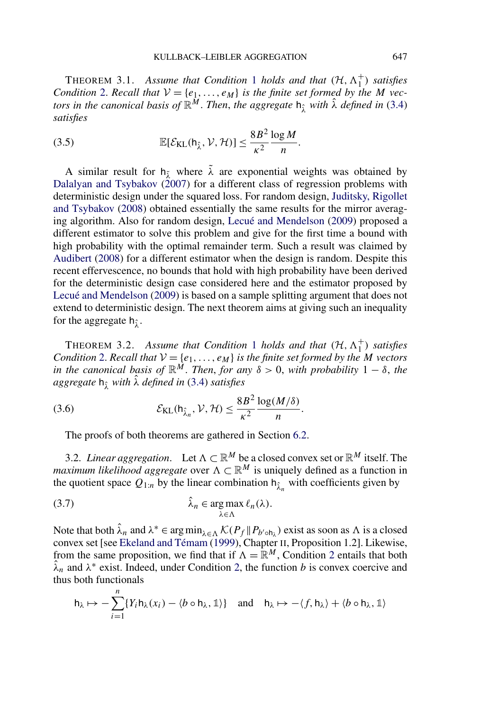<span id="page-8-0"></span>THEOREM 3.[1](#page-7-0). Assume that Condition 1 holds and that  $(\mathcal{H}, \Lambda_1^+)$  satisfies *Condition* [2.](#page-7-0) *Recall that*  $V = \{e_1, \ldots, e_M\}$  *is the finite set formed by the M vectors in the canonical basis of*  $\mathbb{R}^M$ . *Then, the aggregate*  $h_{\hat{\lambda}}$  *with*  $\hat{\lambda}$  *defined in* [\(3.4\)](#page-7-0) *satisfies*

(3.5) 
$$
\mathbb{E}[\mathcal{E}_{\text{KL}}(\mathsf{h}_{\hat{\lambda}}, \mathcal{V}, \mathcal{H})] \leq \frac{8B^2}{\kappa^2} \frac{\log M}{n}.
$$

A similar result for  $h_{\tilde{\lambda}}$  where  $\tilde{\lambda}$  are exponential weights was obtained by [Dalalyan and Tsybakov](#page-24-0)  $(2007)$  for a different class of regression problems with deterministic design under the squared loss. For random design, [Juditsky, Rigollet](#page-25-0) [and Tsybakov](#page-25-0) [\(2008\)](#page-25-0) obtained essentially the same results for the mirror averaging algorithm. Also for random design, [Lecué and Mendelson](#page-25-0) [\(2009\)](#page-25-0) proposed a different estimator to solve this problem and give for the first time a bound with high probability with the optimal remainder term. Such a result was claimed by [Audibert](#page-24-0) [\(2008\)](#page-24-0) for a different estimator when the design is random. Despite this recent effervescence, no bounds that hold with high probability have been derived for the deterministic design case considered here and the estimator proposed by [Lecué and Mendelson](#page-25-0) [\(2009\)](#page-25-0) is based on a sample splitting argument that does not extend to deterministic design. The next theorem aims at giving such an inequality for the aggregate h<sub>î</sub>.

THEOREM 3.2. Assume that Condition [1](#page-7-0) holds and that  $(H, \Lambda_1^+)$  satisfies *Condition* [2.](#page-7-0) *Recall that*  $V = \{e_1, \ldots, e_M\}$  *is the finite set formed by the M vectors in the canonical basis of*  $\mathbb{R}^M$ . *Then, for any*  $\delta > 0$ , *with probability* 1 –  $\delta$ , *the aggregate* <sup>h</sup>*λ*<sup>ˆ</sup> *with <sup>λ</sup>*<sup>ˆ</sup> *defined in* [\(3.4\)](#page-7-0) *satisfies*

(3.6) 
$$
\mathcal{E}_{\text{KL}}(\mathsf{h}_{\hat{\lambda}_n}, \mathcal{V}, \mathcal{H}) \leq \frac{8B^2}{\kappa^2} \frac{\log(M/\delta)}{n}.
$$

The proofs of both theorems are gathered in Section [6.2.](#page-18-0)

3.2. *Linear aggregation*. Let  $\Lambda \subset \mathbb{R}^M$  be a closed convex set or  $\mathbb{R}^M$  itself. The *maximum likelihood aggregate* over  $\Lambda \subset \mathbb{R}^M$  is uniquely defined as a function in the quotient space  $Q_{1:n}$  by the linear combination  $h_{\lambda_n}$  with coefficients given by

$$
\hat{\lambda}_n \in \arg \max_{\lambda \in \Lambda} \ell_n(\lambda).
$$

*n*

Note that both  $\hat{\lambda}_n$  and  $\lambda^* \in \arg\min_{\lambda \in \Lambda} \mathcal{K}(P_f \| P_{b' \circ h_\lambda})$  exist as soon as  $\Lambda$  is a closed convex set [see [Ekeland and Témam](#page-24-0) [\(1999\)](#page-24-0), Chapter II, Proposition 1.2]. Likewise, from the same proposition, we find that if  $\Lambda = \mathbb{R}^M$ , Condition [2](#page-7-0) entails that both  $\hat{\lambda}_n$  and  $\lambda^*$  exist. Indeed, under Condition [2,](#page-7-0) the function *b* is convex coercive and thus both functionals

$$
\mathsf{h}_{\lambda} \mapsto -\sum_{i=1} \{ Y_i \mathsf{h}_{\lambda}(x_i) - \langle b \circ \mathsf{h}_{\lambda}, \mathbb{1} \rangle \} \quad \text{and} \quad \mathsf{h}_{\lambda} \mapsto -\langle f, \mathsf{h}_{\lambda} \rangle + \langle b \circ \mathsf{h}_{\lambda}, \mathbb{1} \rangle
$$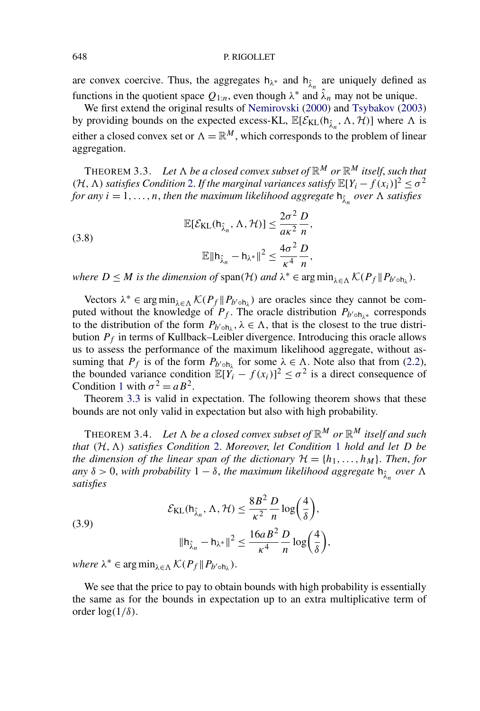<span id="page-9-0"></span>are convex coercive. Thus, the aggregates  $h_{\lambda^*}$  and  $h_{\hat{\lambda}^*}$  are uniquely defined as functions in the quotient space  $Q_{1:n}$ , even though  $\lambda^*$  and  $\lambda_n$  may not be unique.

We first extend the original results of [Nemirovski](#page-25-0) [\(2000\)](#page-25-0) and [Tsybakov](#page-25-0) [\(2003\)](#page-25-0) by providing bounds on the expected excess-KL,  $\mathbb{E}[\mathcal{E}_{KL}(\mathsf{h}_{\hat{\lambda}_n}, \Lambda, \mathcal{H})]$  where  $\Lambda$  is either a closed convex set or  $\Lambda = \mathbb{R}^M$ , which corresponds to the problem of linear aggregation.

THEOREM 3.3. Let  $\Lambda$  be a closed convex subset of  $\mathbb{R}^M$  or  $\mathbb{R}^M$  itself, such that *(H,*  $\Lambda$ *) satisfies Condition* [2.](#page-7-0) *If the marginal variances satisfy*  $\mathbb{E}[Y_i - f(x_i)]^2 \le \sigma^2$ *for any*  $i = 1, \ldots, n$ , *then the maximum likelihood aggregate*  $h_{\hat{\lambda}}$  *over*  $\Lambda$  *satisfies* 

(3.8)  

$$
\mathbb{E}[\mathcal{E}_{KL}(\mathsf{h}_{\hat{\lambda}_n}, \Lambda, \mathcal{H})] \leq \frac{2\sigma^2}{a\kappa^2} \frac{D}{n},
$$

$$
\mathbb{E} \|\mathsf{h}_{\hat{\lambda}_n} - \mathsf{h}_{\lambda^*}\|^2 \leq \frac{4\sigma^2}{\kappa^4} \frac{D}{n},
$$

*where*  $D \leq M$  *is the dimension of*  $\text{span}(\mathcal{H})$  *and*  $\lambda^* \in \arg \min_{\lambda \in \Lambda} \mathcal{K}(P_f \| P_{b' \circ h_{\lambda}})$ .

Vectors  $\lambda^* \in \arg \min_{\lambda \in \Lambda} \mathcal{K}(P_f \| P_{b' \circ h_{\lambda}})$  are oracles since they cannot be computed without the knowledge of  $P_f$ . The oracle distribution  $P_{b' \circ h_{\lambda^*}}$  corresponds to the distribution of the form  $P_{b' \circ h_\lambda}$ ,  $\lambda \in \Lambda$ , that is the closest to the true distribution  $P_f$  in terms of Kullback–Leibler divergence. Introducing this oracle allows us to assess the performance of the maximum likelihood aggregate, without assuming that  $P_f$  is of the form  $P_{b \nmid b}$  for some  $\lambda \in \Lambda$ . Note also that from [\(2.2\)](#page-3-0), the bounded variance condition  $\mathbb{E}[Y_i - f(x_i)]^2 \le \sigma^2$  is a direct consequence of Condition [1](#page-7-0) with  $\sigma^2 = aB^2$ .

Theorem 3.3 is valid in expectation. The following theorem shows that these bounds are not only valid in expectation but also with high probability.

THEOREM 3.4. Let  $\Lambda$  be a closed convex subset of  $\mathbb{R}^M$  or  $\mathbb{R}^M$  itself and such *that (*H*,) satisfies Condition* [2.](#page-7-0) *Moreover*, *let Condition* [1](#page-7-0) *hold and let D be the dimension of the linear span of the dictionary*  $\mathcal{H} = \{h_1, \ldots, h_M\}$ . *Then, for any*  $\delta > 0$ , *with probability*  $1 - \delta$ , *the maximum likelihood aggregate*  $h_{\hat{\lambda}}$  *over*  $\Lambda$ *satisfies*

(3.9)  

$$
\mathcal{E}_{KL}(h_{\hat{\lambda}_n}, \Lambda, \mathcal{H}) \le \frac{8B^2}{\kappa^2} \frac{D}{n} \log\left(\frac{4}{\delta}\right),
$$

$$
||h_{\hat{\lambda}_n} - h_{\lambda^*}||^2 \le \frac{16aB^2}{\kappa^4} \frac{D}{n} \log\left(\frac{4}{\delta}\right),
$$
where  $\lambda^* \in \text{arg min}$   $\mathcal{K}(B, ||B, \lambda)$ 

 $where \lambda^* \in \arg\min_{\lambda \in \Lambda} \mathcal{K}(P_f \| P_{b' \circ h_\lambda}).$ 

We see that the price to pay to obtain bounds with high probability is essentially the same as for the bounds in expectation up to an extra multiplicative term of order  $log(1/\delta)$ .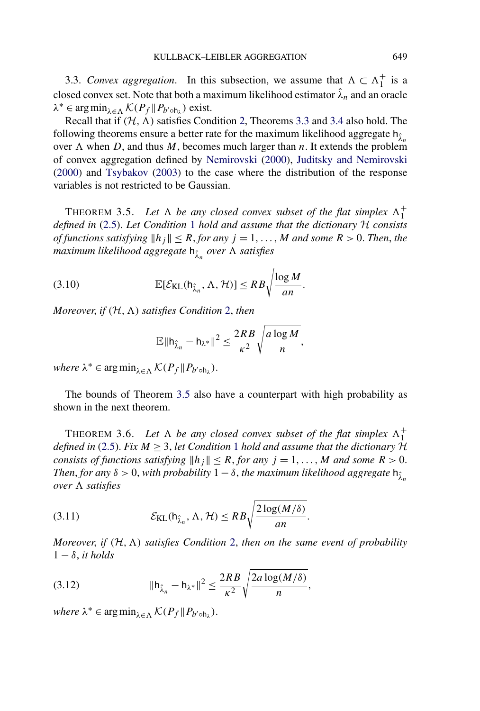<span id="page-10-0"></span>3.3. *Convex aggregation*. In this subsection, we assume that  $\Lambda \subset \Lambda_1^+$  is a closed convex set. Note that both a maximum likelihood estimator  $\hat{\lambda}_n$  and an oracle  $\lambda^* \in \arg \min_{\lambda \in \Lambda} \mathcal{K}(P_f \| P_{b' \circ h_\lambda})$  exist.

Recall that if  $(H, \Lambda)$  satisfies Condition [2,](#page-7-0) Theorems [3.3](#page-9-0) and [3.4](#page-9-0) also hold. The following theorems ensure a better rate for the maximum likelihood aggregate h<sub>λ</sub><sup>2</sup> over  $\Lambda$  when  $D$ , and thus  $M$ , becomes much larger than  $n$ . It extends the problem of convex aggregation defined by [Nemirovski](#page-25-0) [\(2000\)](#page-25-0), [Juditsky and Nemirovski](#page-25-0) [\(2000\)](#page-25-0) and [Tsybakov](#page-25-0) [\(2003\)](#page-25-0) to the case where the distribution of the response variables is not restricted to be Gaussian.

THEOREM 3.5. Let  $\Lambda$  be any closed convex subset of the flat simplex  $\Lambda_1^+$ *defined in* [\(2.5\)](#page-5-0). *Let Condition* [1](#page-7-0) *hold and assume that the dictionary* H *consists of functions satisfying*  $||h_j|| \leq R$ , *for any*  $j = 1, ..., M$  *and some*  $R > 0$ . *Then, the maximum likelihood aggregate* <sup>h</sup>*λ*<sup>ˆ</sup> *<sup>n</sup> over satisfies*

(3.10) 
$$
\mathbb{E}[\mathcal{E}_{KL}(\mathsf{h}_{\hat{\lambda}_n}, \Lambda, \mathcal{H})] \leq RB \sqrt{\frac{\log M}{an}}.
$$

*Moreover*, *if (*H*,) satisfies Condition* [2,](#page-7-0) *then*

$$
\mathbb{E} \|\mathbf{h}_{\hat{\lambda}_n} - \mathbf{h}_{\lambda^*}\|^2 \le \frac{2RB}{\kappa^2} \sqrt{\frac{a \log M}{n}},
$$

 $where \lambda^* \in \arg\min_{\lambda \in \Lambda} \mathcal{K}(P_f \| P_{b' \circ h_\lambda}).$ 

The bounds of Theorem 3.5 also have a counterpart with high probability as shown in the next theorem.

THEOREM 3.6. Let  $\Lambda$  be any closed convex subset of the flat simplex  $\Lambda_1^+$ *defined in* [\(2.5\)](#page-5-0). *Fix*  $M \geq 3$ , *let Condition* [1](#page-7-0) *hold and assume that the dictionary* H *consists of functions satisfying*  $||h_j|| \leq R$ , *for any*  $j = 1, \ldots, M$  *and some*  $R > 0$ . *Then, for any*  $\delta > 0$ , *with probability*  $1 - \delta$ , *the maximum likelihood aggregate*  $h_{\lambda}^*$ *over satisfies*

(3.11) 
$$
\mathcal{E}_{\text{KL}}(\mathsf{h}_{\hat{\lambda}_n}, \Lambda, \mathcal{H}) \leq RB \sqrt{\frac{2 \log(M/\delta)}{an}}.
$$

*Moreover*, *if (*H*,) satisfies Condition* [2,](#page-7-0) *then on the same event of probability*  $1 - \delta$ , *it holds* 

(3.12) 
$$
\|\mathsf{h}_{\hat{\lambda}_n} - \mathsf{h}_{\lambda^*}\|^2 \le \frac{2RB}{\kappa^2} \sqrt{\frac{2a \log(M/\delta)}{n}},
$$

 $where \lambda^* \in \arg\min_{\lambda \in \Lambda} \mathcal{K}(P_f \| P_{b' \circ h_\lambda}).$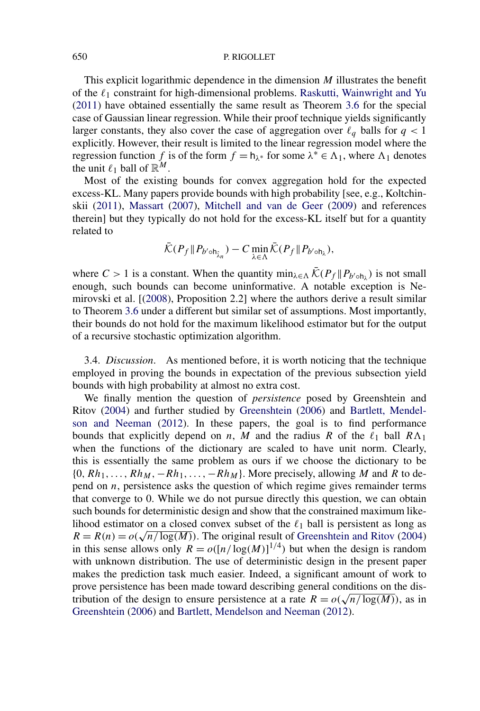This explicit logarithmic dependence in the dimension *M* illustrates the benefit of the  $\ell_1$  constraint for high-dimensional problems. [Raskutti, Wainwright and Yu](#page-25-0) [\(2011\)](#page-25-0) have obtained essentially the same result as Theorem [3.6](#page-10-0) for the special case of Gaussian linear regression. While their proof technique yields significantly larger constants, they also cover the case of aggregation over  $\ell_q$  balls for  $q < 1$ explicitly. However, their result is limited to the linear regression model where the regression function *f* is of the form  $f = h_{\lambda^*}$  for some  $\lambda^* \in \Lambda_1$ , where  $\Lambda_1$  denotes the unit  $\ell_1$  ball of  $\mathbb{R}^M$ .

Most of the existing bounds for convex aggregation hold for the expected excess-KL. Many papers provide bounds with high probability [see, e.g., Koltchinskii [\(2011\)](#page-25-0), [Massart](#page-25-0) [\(2007\)](#page-25-0), [Mitchell and van de Geer](#page-25-0) [\(2009\)](#page-25-0) and references therein] but they typically do not hold for the excess-KL itself but for a quantity related to

$$
\bar{\mathcal{K}}(P_f \| P_{b' \circ h_{\hat{\lambda}_n}}) - C \min_{\lambda \in \Lambda} \bar{\mathcal{K}}(P_f \| P_{b' \circ h_{\lambda}}),
$$

where  $C > 1$  is a constant. When the quantity  $\min_{\lambda \in \Lambda} \overline{\mathcal{K}}(P_f \| P_{b' \circ h_{\lambda}})$  is not small enough, such bounds can become uninformative. A notable exception is Nemirovski et al. [[\(2008\)](#page-25-0), Proposition 2.2] where the authors derive a result similar to Theorem [3.6](#page-10-0) under a different but similar set of assumptions. Most importantly, their bounds do not hold for the maximum likelihood estimator but for the output of a recursive stochastic optimization algorithm.

3.4. *Discussion*. As mentioned before, it is worth noticing that the technique employed in proving the bounds in expectation of the previous subsection yield bounds with high probability at almost no extra cost.

We finally mention the question of *persistence* posed by Greenshtein and Ritov [\(2004\)](#page-25-0) and further studied by [Greenshtein](#page-25-0) [\(2006\)](#page-25-0) and [Bartlett, Mendel](#page-24-0)[son and Neeman](#page-24-0) [\(2012\)](#page-24-0). In these papers, the goal is to find performance bounds that explicitly depend on *n*, *M* and the radius *R* of the  $\ell_1$  ball  $R\Lambda_1$ when the functions of the dictionary are scaled to have unit norm. Clearly, this is essentially the same problem as ours if we choose the dictionary to be {0*,Rh*1*,...,RhM,*−*Rh*1*,...,*−*RhM*}. More precisely, allowing *M* and *R* to depend on *n*, persistence asks the question of which regime gives remainder terms that converge to 0. While we do not pursue directly this question, we can obtain such bounds for deterministic design and show that the constrained maximum likelihood estimator on a closed convex subset of the  $\ell_1$  ball is persistent as long as  $R = R(n) = o(\sqrt{n/\log(M)})$ . The original result of [Greenshtein and Ritov](#page-25-0) [\(2004\)](#page-25-0) in this sense allows only  $R = o([n/\log(M)]^{1/4})$  but when the design is random with unknown distribution. The use of deterministic design in the present paper makes the prediction task much easier. Indeed, a significant amount of work to prove persistence has been made toward describing general conditions on the distribution of the design to ensure persistence at a rate  $R = o(\sqrt{n/\log(M)})$ , as in [Greenshtein](#page-25-0) [\(2006\)](#page-25-0) and [Bartlett, Mendelson and Neeman](#page-24-0) [\(2012\)](#page-24-0).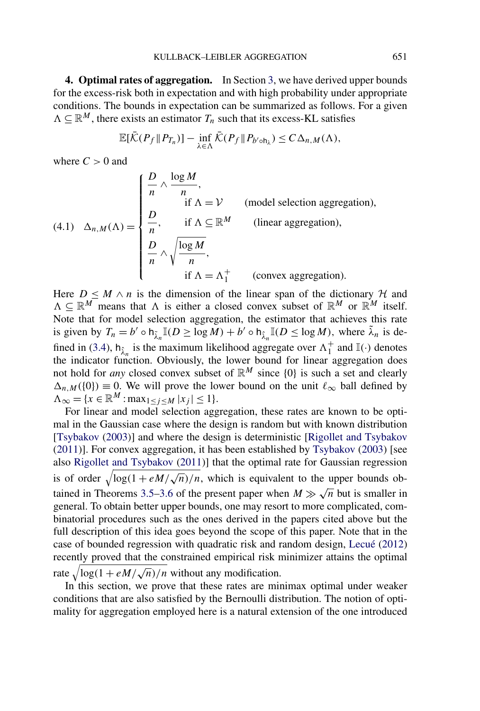<span id="page-12-0"></span>**4. Optimal rates of aggregation.** In Section [3,](#page-6-0) we have derived upper bounds for the excess-risk both in expectation and with high probability under appropriate conditions. The bounds in expectation can be summarized as follows. For a given  $\Lambda \subseteq \mathbb{R}^M$ , there exists an estimator  $T_n$  such that its excess-KL satisfies

$$
\mathbb{E}[\bar{\mathcal{K}}(P_f \| P_{T_n})] - \inf_{\lambda \in \Lambda} \bar{\mathcal{K}}(P_f \| P_{b' \circ h_{\lambda}}) \leq C \Delta_{n,M}(\Lambda),
$$

where  $C > 0$  and

$$
(4.1) \quad \Delta_{n,M}(\Lambda) = \begin{cases} \frac{D}{n} \wedge \frac{\log M}{n}, & \text{ (model selection aggregation)},\\ \frac{D}{n}, & \text{ if } \Lambda \subseteq \mathbb{R}^M \qquad \text{ (linear aggregation)},\\ \frac{D}{n} \wedge \sqrt{\frac{\log M}{n}}, & \text{ if } \Lambda = \Lambda_1^+ \qquad \text{ (convex aggregation).} \end{cases}
$$

Here  $D \leq M \wedge n$  is the dimension of the linear span of the dictionary H and  $\Lambda \subseteq \mathbb{R}^M$  means that  $\Lambda$  is either a closed convex subset of  $\mathbb{R}^M$  or  $\mathbb{R}^M$  itself. Note that for model selection aggregation, the estimator that achieves this rate is given by  $T_n = b' \circ h_{\lambda_n} \mathbb{I}(D \ge \log M) + b' \circ h_{\lambda_n} \mathbb{I}(D \le \log M)$ , where  $\tilde{\lambda}_n$  is de-fined in [\(3.4\)](#page-7-0),  $h_{\lambda_n}$  is the maximum likelihood aggregate over  $\Lambda_1^+$  and  $\mathbb{I}(\cdot)$  denotes the indicator function. Obviously, the lower bound for linear aggregation does not hold for *any* closed convex subset of  $\mathbb{R}^M$  since  $\{0\}$  is such a set and clearly  $\Delta_{n,M}(\{0\}) \equiv 0$ . We will prove the lower bound on the unit  $\ell_{\infty}$  ball defined by  $\Lambda_{\infty} = \{x \in \mathbb{R}^M : \max_{1 \leq j \leq M} |x_j| \leq 1\}.$ 

For linear and model selection aggregation, these rates are known to be optimal in the Gaussian case where the design is random but with known distribution [\[Tsybakov](#page-25-0) [\(2003\)](#page-25-0)] and where the design is deterministic [\[Rigollet and Tsybakov](#page-25-0) [\(2011\)](#page-25-0)]. For convex aggregation, it has been established by [Tsybakov](#page-25-0) [\(2003\)](#page-25-0) [see also [Rigollet and Tsybakov](#page-25-0) [\(2011\)](#page-25-0)] that the optimal rate for Gaussian regression is of order  $\sqrt{\log(1 + eM/\sqrt{n})/n}$ , which is equivalent to the upper bounds ob-tained in Theorems [3.5–3.6](#page-10-0) of the present paper when  $M \gg \sqrt{n}$  but is smaller in general. To obtain better upper bounds, one may resort to more complicated, combinatorial procedures such as the ones derived in the papers cited above but the full description of this idea goes beyond the scope of this paper. Note that in the case of bounded regression with quadratic risk and random design, [Lecué](#page-25-0) [\(2012\)](#page-25-0) recently proved that the constrained empirical risk minimizer attains the optimal rate  $\sqrt{\log(1 + eM/\sqrt{n})/n}$  without any modification.

In this section, we prove that these rates are minimax optimal under weaker conditions that are also satisfied by the Bernoulli distribution. The notion of optimality for aggregation employed here is a natural extension of the one introduced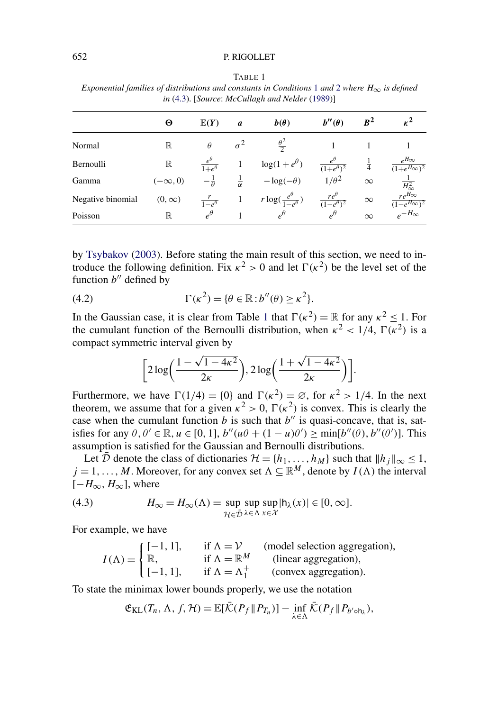| in (4.3). [Source: McCullagh and Nelder (1989)] |                |                          |                    |                                           |                                        |               |                                             |
|-------------------------------------------------|----------------|--------------------------|--------------------|-------------------------------------------|----------------------------------------|---------------|---------------------------------------------|
|                                                 | Θ              | $\mathbb{E}(Y)$          | a                  | $b(\theta)$                               | $b''(\theta)$                          | $R^2$         |                                             |
| Normal                                          | $\mathbb R$    | $\theta$                 | $\sigma^2$         | $\frac{\theta^2}{2}$                      |                                        |               |                                             |
| Bernoulli                                       | $\mathbb R$    | $1+e^{\theta}$           |                    | $\log(1+e^{\theta})$                      | $(1+e^{\theta})^2$                     | $\frac{1}{4}$ | $e^{H_{\infty}}$<br>$(1+e^{H_{\infty}})^2$  |
| Gamma                                           | $(-\infty, 0)$ | $-\frac{1}{\theta}$      | $\frac{1}{\alpha}$ | $-\log(-\theta)$                          | $1/\theta^2$                           | $\infty$      | $H^2_{\infty}$                              |
| Negative binomial                               | $(0, \infty)$  | $\frac{1}{1-e^{\theta}}$ |                    | $r \log(\frac{e^{\theta}}{1-e^{\theta}})$ | $\frac{re^{\theta}}{(1-e^{\theta})^2}$ | $\infty$      | $re^{H_{\infty}}$<br>$(1-e^{H_{\infty}})^2$ |
| Poisson                                         | ℝ              | $\rho^{\theta}$          |                    | $\rho^{\theta}$                           | $\rho^{\theta}$                        | $\sim$        | $_{\rho}$ -H <sub>∞</sub>                   |

<span id="page-13-0"></span>TABLE 1 *Exponential families of distributions and constants in Conditions* [1](#page-7-0) *and* [2](#page-7-0) *where*  $H_{\infty}$  *is defined* 

by [Tsybakov](#page-25-0) [\(2003\)](#page-25-0). Before stating the main result of this section, we need to introduce the following definition. Fix  $\kappa^2 > 0$  and let  $\Gamma(\kappa^2)$  be the level set of the function  $b''$  defined by

Poisson R  $e^{\theta}$  1  $e^{\theta}$  e<sup> $\theta$ </sup>  $\infty$   $e^{-H_{\infty}}$ 

(4.2) 
$$
\Gamma(\kappa^2) = \{ \theta \in \mathbb{R} : b''(\theta) \ge \kappa^2 \}.
$$

In the Gaussian case, it is clear from Table 1 that  $\Gamma(\kappa^2) = \mathbb{R}$  for any  $\kappa^2 < 1$ . For the cumulant function of the Bernoulli distribution, when  $\kappa^2 < 1/4$ ,  $\Gamma(\kappa^2)$  is a compact symmetric interval given by

$$
\bigg[2\log\bigg(\frac{1-\sqrt{1-4\kappa^2}}{2\kappa}\bigg), 2\log\bigg(\frac{1+\sqrt{1-4\kappa^2}}{2\kappa}\bigg)\bigg].
$$

Furthermore, we have  $\Gamma(1/4) = \{0\}$  and  $\Gamma(\kappa^2) = \emptyset$ , for  $\kappa^2 > 1/4$ . In the next theorem, we assume that for a given  $\kappa^2 > 0$ ,  $\Gamma(\kappa^2)$  is convex. This is clearly the case when the cumulant function  $b$  is such that  $b''$  is quasi-concave, that is, satisfies for any  $\theta$ ,  $\theta' \in \mathbb{R}$ ,  $u \in [0, 1]$ ,  $b''(u\theta + (1 - u)\theta') \ge \min[b''(\theta), b''(\theta')]$ . This assumption is satisfied for the Gaussian and Bernoulli distributions.

Let  $\overline{\mathcal{D}}$  denote the class of dictionaries  $\mathcal{H} = \{h_1, \ldots, h_M\}$  such that  $||h_j||_{\infty} \leq 1$ ,  $j = 1, \ldots, M$ . Moreover, for any convex set  $\Lambda \subseteq \mathbb{R}^M$ , denote by  $I(\Lambda)$  the interval  $[-H_{\infty}, H_{\infty}]$ , where

(4.3) 
$$
H_{\infty} = H_{\infty}(\Lambda) = \sup_{\mathcal{H} \in \bar{\mathcal{D}}} \sup_{\lambda \in \Lambda} \sup_{x \in \mathcal{X}} |h_{\lambda}(x)| \in [0, \infty].
$$

For example, we have

$$
I(\Lambda) = \begin{cases} [-1, 1], & \text{if } \Lambda = \mathcal{V} \text{ (model selection aggregation)},\\ \mathbb{R}, & \text{if } \Lambda = \mathbb{R}^M \text{ (linear aggregation)},\\ [-1, 1], & \text{if } \Lambda = \Lambda_1^+ \text{ (convex aggregation)}. \end{cases}
$$

To state the minimax lower bounds properly, we use the notation

$$
\mathfrak{E}_{\text{KL}}(T_n, \Lambda, f, \mathcal{H}) = \mathbb{E}[\bar{\mathcal{K}}(P_f \| P_{T_n})] - \inf_{\lambda \in \Lambda} \bar{\mathcal{K}}(P_f \| P_{b' \circ h_{\lambda}}),
$$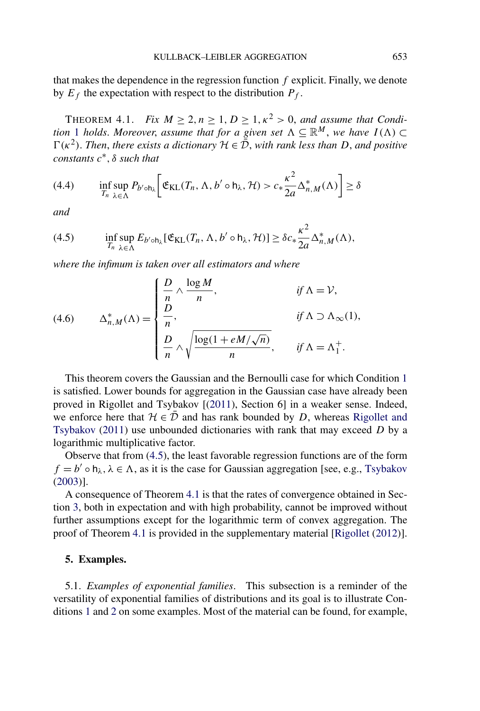<span id="page-14-0"></span>that makes the dependence in the regression function *f* explicit. Finally, we denote by  $E_f$  the expectation with respect to the distribution  $P_f$ .

THEOREM 4.1. *Fix*  $M \geq 2, n \geq 1, D \geq 1, \kappa^2 > 0$ , and assume that Condi*tion* [1](#page-7-0) *holds. Moreover, assume that for a given set*  $\Lambda \subseteq \mathbb{R}^M$ , *we have*  $I(\Lambda) \subset$  $\Gamma(\kappa^2)$ . *Then*, *there exists a dictionary*  $\mathcal{H} \in \bar{\mathcal{D}}$ , *with rank less than D*, *and positive constants c*∗*,δ such that*

$$
(4.4) \qquad \inf_{T_n} \sup_{\lambda \in \Lambda} P_{b' \circ h_{\lambda}} \bigg[ \mathfrak{E}_{\mathrm{KL}}(T_n, \Lambda, b' \circ h_{\lambda}, \mathcal{H}) > c_* \frac{\kappa^2}{2a} \Delta_{n,M}^*(\Lambda) \bigg] \ge \delta
$$

*and*

(4.5) 
$$
\inf_{T_n} \sup_{\lambda \in \Lambda} E_{b' \circ h_\lambda} [\mathfrak{E}_{\mathrm{KL}}(T_n, \Lambda, b' \circ h_\lambda, \mathcal{H})] \geq \delta c_* \frac{\kappa^2}{2a} \Delta_{n,M}^*(\Lambda),
$$

*where the infimum is taken over all estimators and where*

(4.6) 
$$
\Delta_{n,M}^*(\Lambda) = \begin{cases} \frac{D}{n} \wedge \frac{\log M}{n}, & \text{if } \Lambda = \mathcal{V}, \\ \frac{D}{n}, & \text{if } \Lambda \supset \Lambda_{\infty}(1), \\ \frac{D}{n} \wedge \sqrt{\frac{\log(1 + eM/\sqrt{n})}{n}}, & \text{if } \Lambda = \Lambda_1^+.\end{cases}
$$

This theorem covers the Gaussian and the Bernoulli case for which Condition [1](#page-7-0) is satisfied. Lower bounds for aggregation in the Gaussian case have already been proved in Rigollet and Tsybakov [[\(2011\)](#page-25-0), Section 6] in a weaker sense. Indeed, we enforce here that  $H \in \overline{\mathcal{D}}$  and has rank bounded by *D*, whereas [Rigollet and](#page-25-0) [Tsybakov](#page-25-0) [\(2011\)](#page-25-0) use unbounded dictionaries with rank that may exceed *D* by a logarithmic multiplicative factor.

Observe that from (4.5), the least favorable regression functions are of the form  $f = b' \circ h_\lambda, \lambda \in \Lambda$ , as it is the case for Gaussian aggregation [see, e.g., [Tsybakov](#page-25-0) [\(2003\)](#page-25-0)].

A consequence of Theorem 4.1 is that the rates of convergence obtained in Section [3,](#page-6-0) both in expectation and with high probability, cannot be improved without further assumptions except for the logarithmic term of convex aggregation. The proof of Theorem 4.1 is provided in the supplementary material [\[Rigollet](#page-25-0) [\(2012\)](#page-25-0)].

### **5. Examples.**

5.1. *Examples of exponential families*. This subsection is a reminder of the versatility of exponential families of distributions and its goal is to illustrate Conditions [1](#page-7-0) and [2](#page-7-0) on some examples. Most of the material can be found, for example,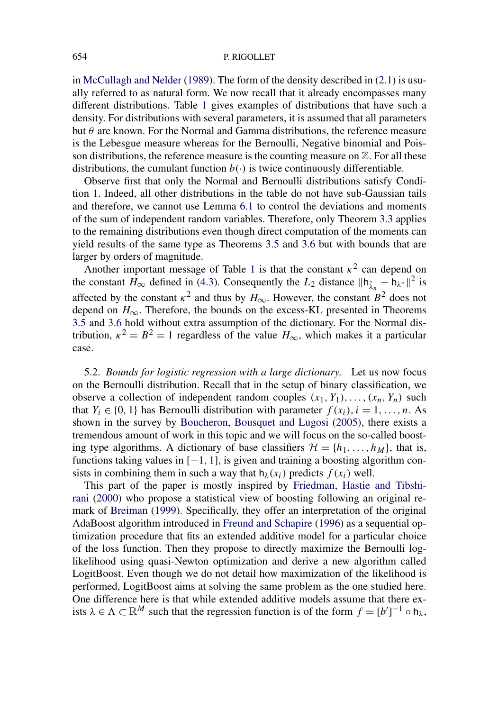in [McCullagh and Nelder](#page-25-0) [\(1989\)](#page-25-0). The form of the density described in [\(2.1\)](#page-3-0) is usually referred to as natural form. We now recall that it already encompasses many different distributions. Table [1](#page-13-0) gives examples of distributions that have such a density. For distributions with several parameters, it is assumed that all parameters but *θ* are known. For the Normal and Gamma distributions, the reference measure is the Lebesgue measure whereas for the Bernoulli, Negative binomial and Poisson distributions, the reference measure is the counting measure on  $\mathbb{Z}$ . For all these distributions, the cumulant function  $b(\cdot)$  is twice continuously differentiable.

Observe first that only the Normal and Bernoulli distributions satisfy Condition [1.](#page-7-0) Indeed, all other distributions in the table do not have sub-Gaussian tails and therefore, we cannot use Lemma [6.1](#page-17-0) to control the deviations and moments of the sum of independent random variables. Therefore, only Theorem [3.3](#page-9-0) applies to the remaining distributions even though direct computation of the moments can yield results of the same type as Theorems [3.5](#page-10-0) and [3.6](#page-10-0) but with bounds that are larger by orders of magnitude.

Another important message of Table [1](#page-13-0) is that the constant  $\kappa^2$  can depend on the constant  $H_{\infty}$  defined in [\(4.3\)](#page-13-0). Consequently the  $L_2$  distance  $||h_{\hat{\lambda}} - h_{\lambda}||^2$  is affected by the constant  $\kappa^2$  and thus by  $H_{\infty}$ . However, the constant  $B^2$  does not depend on  $H_{\infty}$ . Therefore, the bounds on the excess-KL presented in Theorems [3.5](#page-10-0) and [3.6](#page-10-0) hold without extra assumption of the dictionary. For the Normal distribution,  $\kappa^2 = B^2 = 1$  regardless of the value  $H_{\infty}$ , which makes it a particular case.

5.2. *Bounds for logistic regression with a large dictionary*. Let us now focus on the Bernoulli distribution. Recall that in the setup of binary classification, we observe a collection of independent random couples  $(x_1, Y_1), \ldots, (x_n, Y_n)$  such that  $Y_i \in \{0, 1\}$  has Bernoulli distribution with parameter  $f(x_i)$ ,  $i = 1, \ldots, n$ . As shown in the survey by [Boucheron, Bousquet and Lugosi](#page-24-0) [\(2005\)](#page-24-0), there exists a tremendous amount of work in this topic and we will focus on the so-called boosting type algorithms. A dictionary of base classifiers  $\mathcal{H} = \{h_1, \ldots, h_M\}$ , that is, functions taking values in [−1*,* 1], is given and training a boosting algorithm consists in combining them in such a way that  $h_{\lambda}(x_i)$  predicts  $f(x_i)$  well.

This part of the paper is mostly inspired by [Friedman, Hastie and Tibshi](#page-25-0)[rani](#page-25-0) [\(2000\)](#page-25-0) who propose a statistical view of boosting following an original remark of [Breiman](#page-24-0) [\(1999\)](#page-24-0). Specifically, they offer an interpretation of the original AdaBoost algorithm introduced in [Freund and Schapire](#page-25-0) [\(1996\)](#page-25-0) as a sequential optimization procedure that fits an extended additive model for a particular choice of the loss function. Then they propose to directly maximize the Bernoulli loglikelihood using quasi-Newton optimization and derive a new algorithm called LogitBoost. Even though we do not detail how maximization of the likelihood is performed, LogitBoost aims at solving the same problem as the one studied here. One difference here is that while extended additive models assume that there exists  $\lambda \in \Lambda \subset \mathbb{R}^M$  such that the regression function is of the form  $f = [b']^{-1} \circ h_{\lambda}$ ,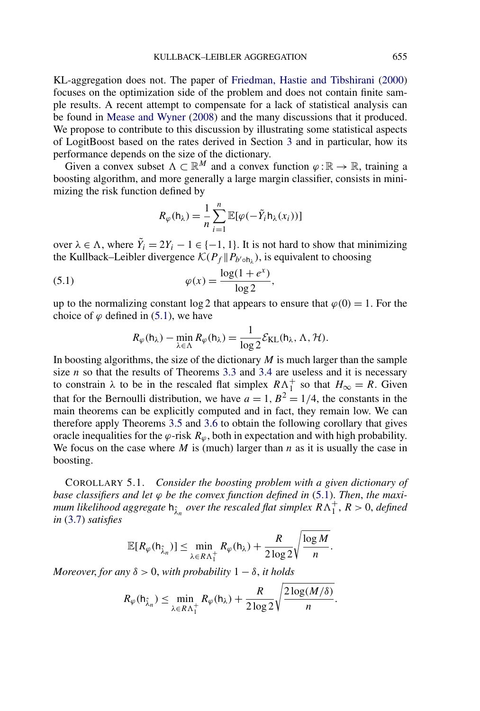KL-aggregation does not. The paper of [Friedman, Hastie and Tibshirani](#page-25-0) [\(2000\)](#page-25-0) focuses on the optimization side of the problem and does not contain finite sample results. A recent attempt to compensate for a lack of statistical analysis can be found in [Mease and Wyner](#page-25-0) [\(2008\)](#page-25-0) and the many discussions that it produced. We propose to contribute to this discussion by illustrating some statistical aspects of LogitBoost based on the rates derived in Section [3](#page-6-0) and in particular, how its performance depends on the size of the dictionary.

Given a convex subset  $\Lambda \subset \mathbb{R}^M$  and a convex function  $\varphi : \mathbb{R} \to \mathbb{R}$ , training a boosting algorithm, and more generally a large margin classifier, consists in minimizing the risk function defined by

$$
R_{\varphi}(\mathsf{h}_{\lambda}) = \frac{1}{n} \sum_{i=1}^{n} \mathbb{E}[\varphi(-\tilde{Y}_i \mathsf{h}_{\lambda}(x_i))]
$$

over  $\lambda \in \Lambda$ , where  $\tilde{Y}_i = 2Y_i - 1 \in \{-1, 1\}$ . It is not hard to show that minimizing the Kullback–Leibler divergence  $\mathcal{K}(P_f \| P_{b' \circ h_\lambda})$ , is equivalent to choosing

(5.1) 
$$
\varphi(x) = \frac{\log(1 + e^x)}{\log 2},
$$

up to the normalizing constant  $\log 2$  that appears to ensure that  $\varphi(0) = 1$ . For the choice of  $\varphi$  defined in (5.1), we have

$$
R_{\varphi}(\mathsf{h}_{\lambda}) - \min_{\lambda \in \Lambda} R_{\varphi}(\mathsf{h}_{\lambda}) = \frac{1}{\log 2} \mathcal{E}_{\text{KL}}(\mathsf{h}_{\lambda}, \Lambda, \mathcal{H}).
$$

In boosting algorithms, the size of the dictionary  $M$  is much larger than the sample size  $n$  so that the results of Theorems [3.3](#page-9-0) and [3.4](#page-9-0) are useless and it is necessary to constrain  $\lambda$  to be in the rescaled flat simplex  $R\Lambda_1^+$  so that  $H_{\infty} = R$ . Given that for the Bernoulli distribution, we have  $a = 1, B^2 = 1/4$ , the constants in the main theorems can be explicitly computed and in fact, they remain low. We can therefore apply Theorems [3.5](#page-10-0) and [3.6](#page-10-0) to obtain the following corollary that gives oracle inequalities for the  $\varphi$ -risk  $R_\varphi$ , both in expectation and with high probability. We focus on the case where *M* is (much) larger than *n* as it is usually the case in boosting.

COROLLARY 5.1. *Consider the boosting problem with a given dictionary of base classifiers and let ϕ be the convex function defined in* (5.1). *Then*, *the maximum likelihood aggregate*  $h_{\hat{\lambda}_n}$  *over the rescaled flat simplex*  $R\Lambda_1^+$ ,  $R > 0$ , *defined in* [\(3.7\)](#page-8-0) *satisfies*

$$
\mathbb{E}[R_{\varphi}(\mathsf{h}_{\hat{\lambda}_n})] \leq \min_{\lambda \in R\Lambda_1^+} R_{\varphi}(\mathsf{h}_{\lambda}) + \frac{R}{2\log 2} \sqrt{\frac{\log M}{n}}.
$$

*Moreover, for any*  $\delta > 0$ *, with probability*  $1 - \delta$ *, it holds* 

$$
R_{\varphi}(\mathsf{h}_{\hat{\lambda}_n}) \leq \min_{\lambda \in R\Lambda_1^+} R_{\varphi}(\mathsf{h}_{\lambda}) + \frac{R}{2\log 2} \sqrt{\frac{2\log(M/\delta)}{n}}.
$$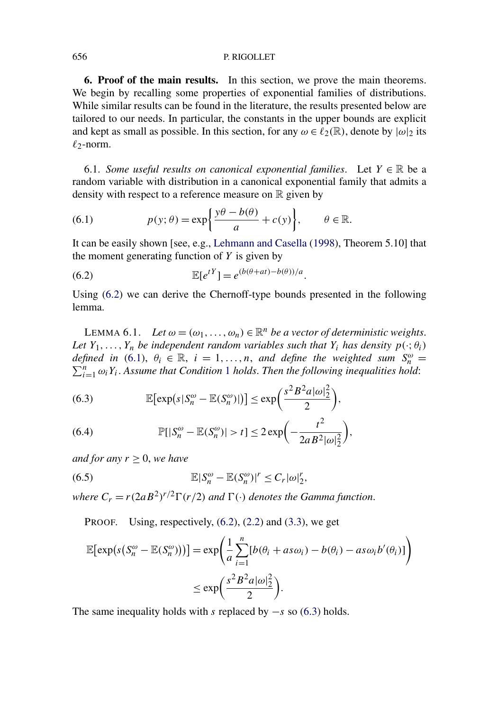**6. Proof of the main results.** In this section, we prove the main theorems. We begin by recalling some properties of exponential families of distributions. While similar results can be found in the literature, the results presented below are tailored to our needs. In particular, the constants in the upper bounds are explicit and kept as small as possible. In this section, for any  $\omega \in \ell_2(\mathbb{R})$ , denote by  $|\omega|_2$  its  $\ell_2$ -norm.

6.1. *Some useful results on canonical exponential families*. Let  $Y \in \mathbb{R}$  be a random variable with distribution in a canonical exponential family that admits a density with respect to a reference measure on  $\mathbb R$  given by

(6.1) 
$$
p(y; \theta) = \exp\left\{\frac{y\theta - b(\theta)}{a} + c(y)\right\}, \qquad \theta \in \mathbb{R}.
$$

It can be easily shown [see, e.g., [Lehmann and Casella](#page-25-0) [\(1998\)](#page-25-0), Theorem 5.10] that the moment generating function of *Y* is given by

(6.2) 
$$
\mathbb{E}[e^{tY}] = e^{(b(\theta+at)-b(\theta))/a}.
$$

Using (6.2) we can derive the Chernoff-type bounds presented in the following lemma.

LEMMA 6.1. *Let*  $\omega = (\omega_1, \dots, \omega_n) \in \mathbb{R}^n$  *be a vector of deterministic weights. Let*  $Y_1, \ldots, Y_n$  *be independent random variables such that*  $Y_i$  *has density*  $p(\cdot; \theta_i)$ *defined in* (6.1),  $\theta_i \in \mathbb{R}$ ,  $i = 1, ..., n$ , *and define the weighted sum*  $S_n^{\omega} =$  $\sum_{i=1}^{n} \omega_i Y_i$  $\sum_{i=1}^{n} \omega_i Y_i$  $\sum_{i=1}^{n} \omega_i Y_i$ . Assume that Condition 1 *holds. Then the following inequalities hold*:

(6.3) 
$$
\mathbb{E}[\exp(s|S_n^{\omega} - \mathbb{E}(S_n^{\omega})|)] \leq \exp\left(\frac{s^2 B^2 a |\omega|_2^2}{2}\right),
$$

(6.4) 
$$
\mathbb{P}[|S_n^{\omega} - \mathbb{E}(S_n^{\omega})| > t] \leq 2 \exp\left(-\frac{t^2}{2aB^2|\omega|_2^2}\right),
$$

*and for any*  $r \geq 0$ *, we have* 

(6.5) 
$$
\mathbb{E}|S_n^{\omega} - \mathbb{E}(S_n^{\omega})|^r \leq C_r |\omega|_2^r,
$$

*where*  $C_r = r(2aB^2)^{r/2}\Gamma(r/2)$  *and*  $\Gamma(\cdot)$  *denotes the Gamma function.* 

PROOF. Using, respectively, (6.2), [\(2.2\)](#page-3-0) and [\(3.3\)](#page-7-0), we get

$$
\mathbb{E}[\exp(s(S_n^{\omega} - \mathbb{E}(S_n^{\omega})))] = \exp\left(\frac{1}{a} \sum_{i=1}^n [b(\theta_i + as\omega_i) - b(\theta_i) - as\omega_i b'(\theta_i)]\right)
$$
  

$$
\leq \exp\left(\frac{s^2 B^2 a |\omega|_2^2}{2}\right).
$$

The same inequality holds with *s* replaced by −*s* so (6.3) holds.

<span id="page-17-0"></span>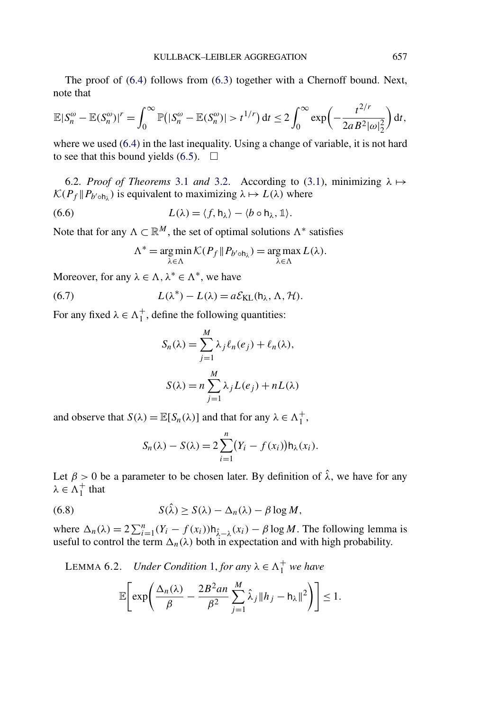<span id="page-18-0"></span>The proof of [\(6.4\)](#page-17-0) follows from [\(6.3\)](#page-17-0) together with a Chernoff bound. Next, note that

$$
\mathbb{E}|S_n^{\omega}-\mathbb{E}(S_n^{\omega})|^r=\int_0^{\infty}\mathbb{P}(|S_n^{\omega}-\mathbb{E}(S_n^{\omega})|>t^{1/r})\,\mathrm{d}t\leq 2\int_0^{\infty}\exp\biggl(-\frac{t^{2/r}}{2aB^2|\omega|_2^2}\biggr)\,\mathrm{d}t,
$$

where we used  $(6.4)$  in the last inequality. Using a change of variable, it is not hard to see that this bound yields  $(6.5)$ .  $\Box$ 

6.2. *Proof of Theorems* [3.1](#page-8-0) *and* [3.2.](#page-8-0) According to [\(3.1\)](#page-6-0), minimizing  $\lambda \mapsto$  $\mathcal{K}(P_f \| P_{b' \circ h_\lambda})$  is equivalent to maximizing  $\lambda \mapsto L(\lambda)$  where

(6.6) 
$$
L(\lambda) = \langle f, h_{\lambda} \rangle - \langle b \circ h_{\lambda}, \mathbb{1} \rangle.
$$

Note that for any  $\Lambda \subset \mathbb{R}^M$ , the set of optimal solutions  $\Lambda^*$  satisfies

$$
\Lambda^* = \underset{\lambda \in \Lambda}{\arg \min} \mathcal{K}(P_f \| P_{b' \circ h_{\lambda}}) = \underset{\lambda \in \Lambda}{\arg \max} L(\lambda).
$$

Moreover, for any  $\lambda \in \Lambda$ ,  $\lambda^* \in \Lambda^*$ , we have

(6.7) 
$$
L(\lambda^*) - L(\lambda) = a \mathcal{E}_{KL}(\mathsf{h}_{\lambda}, \Lambda, \mathcal{H}).
$$

For any fixed  $\lambda \in \Lambda_1^+$ , define the following quantities:

$$
S_n(\lambda) = \sum_{j=1}^M \lambda_j \ell_n(e_j) + \ell_n(\lambda),
$$
  

$$
S(\lambda) = n \sum_{j=1}^M \lambda_j L(e_j) + nL(\lambda)
$$

and observe that  $S(\lambda) = \mathbb{E}[S_n(\lambda)]$  and that for any  $\lambda \in \Lambda_1^+$ ,

$$
S_n(\lambda) - S(\lambda) = 2 \sum_{i=1}^n (Y_i - f(x_i)) \mathsf{h}_{\lambda}(x_i).
$$

Let  $\beta > 0$  be a parameter to be chosen later. By definition of  $\hat{\lambda}$ , we have for any  $\lambda \in \Lambda_1^+$  that

(6.8) 
$$
S(\hat{\lambda}) \geq S(\lambda) - \Delta_n(\lambda) - \beta \log M,
$$

where  $\Delta_n(\lambda) = 2 \sum_{i=1}^n (Y_i - f(x_i)) h_{\lambda-\lambda}(x_i) - \beta \log M$ . The following lemma is useful to control the term  $\Delta_n(\lambda)$  both in expectation and with high probability.

LEMMA 6.2. *Under Condition* [1,](#page-7-0) *for any*  $\lambda \in \Lambda_1^+$  *we have* 

$$
\mathbb{E}\Bigg[\exp\Bigg(\frac{\Delta_n(\lambda)}{\beta}-\frac{2B^2an}{\beta^2}\sum_{j=1}^M\hat{\lambda}_j\|h_j-h_\lambda\|^2\Bigg)\Bigg]\leq 1.
$$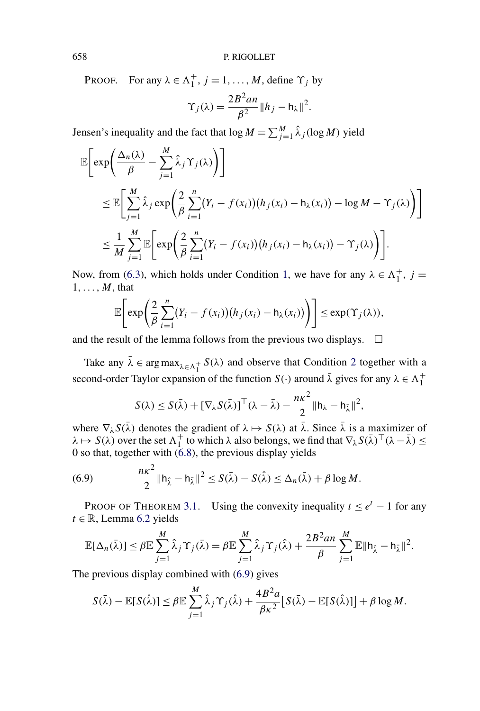PROOF. For any  $\lambda \in \Lambda_1^+, j = 1, ..., M$ , define  $\Upsilon_j$  by

$$
\Upsilon_j(\lambda) = \frac{2B^2 a n}{\beta^2} \|h_j - h_\lambda\|^2.
$$

Jensen's inequality and the fact that  $\log M = \sum_{j=1}^{M} \hat{\lambda}_j (\log M)$  yield

$$
\mathbb{E}\bigg[\exp\bigg(\frac{\Delta_n(\lambda)}{\beta} - \sum_{j=1}^M \hat{\lambda}_j \Upsilon_j(\lambda)\bigg)\bigg]
$$
  
\n
$$
\leq \mathbb{E}\bigg[\sum_{j=1}^M \hat{\lambda}_j \exp\bigg(\frac{2}{\beta} \sum_{i=1}^n (Y_i - f(x_i))(h_j(x_i) - h_\lambda(x_i)) - \log M - \Upsilon_j(\lambda)\bigg)\bigg]
$$
  
\n
$$
\leq \frac{1}{M} \sum_{j=1}^M \mathbb{E}\bigg[\exp\bigg(\frac{2}{\beta} \sum_{i=1}^n (Y_i - f(x_i))(h_j(x_i) - h_\lambda(x_i)) - \Upsilon_j(\lambda)\bigg)\bigg].
$$

Now, from [\(6.3\)](#page-17-0), which holds under Condition [1,](#page-7-0) we have for any  $\lambda \in \Lambda_1^+$ ,  $j =$ 1*,...,M*, that

$$
\mathbb{E}\bigg[\exp\bigg(\frac{2}{\beta}\sum_{i=1}^n (Y_i - f(x_i))(h_j(x_i) - h_\lambda(x_i))\bigg)\bigg] \leq \exp(\Upsilon_j(\lambda)),
$$

and the result of the lemma follows from the previous two displays.  $\Box$ 

Take any  $\bar{\lambda} \in \arg \max_{\lambda \in \Lambda_1^+} S(\lambda)$  and observe that Condition [2](#page-7-0) together with a second-order Taylor expansion of the function  $S(\cdot)$  around  $\bar{\lambda}$  gives for any  $\lambda \in \Lambda_1^+$ 

$$
S(\lambda) \leq S(\bar{\lambda}) + [\nabla_{\lambda} S(\bar{\lambda})]^{\top} (\lambda - \bar{\lambda}) - \frac{n\kappa^2}{2} ||h_{\lambda} - h_{\bar{\lambda}}||^2,
$$

where  $\nabla_{\lambda} S(\bar{\lambda})$  denotes the gradient of  $\lambda \mapsto S(\lambda)$  at  $\bar{\lambda}$ . Since  $\bar{\lambda}$  is a maximizer of  $\lambda \mapsto S(\lambda)$  over the set  $\Lambda_1^+$  to which  $\lambda$  also belongs, we find that  $\nabla_\lambda S(\bar{\lambda})^\top (\lambda - \bar{\lambda}) \leq$ 0 so that, together with  $(6.8)$ , the previous display yields

(6.9) 
$$
\frac{n\kappa^2}{2} \|\mathsf{h}_{\hat{\lambda}} - \mathsf{h}_{\bar{\lambda}}\|^2 \leq S(\bar{\lambda}) - S(\hat{\lambda}) \leq \Delta_n(\bar{\lambda}) + \beta \log M.
$$

PROOF OF THEOREM [3.1.](#page-8-0) Using the convexity inequality  $t \le e^t - 1$  for any  $t \in \mathbb{R}$ , Lemma [6.2](#page-18-0) yields

$$
\mathbb{E}[\Delta_n(\bar{\lambda})] \leq \beta \mathbb{E} \sum_{j=1}^M \hat{\lambda}_j \Upsilon_j(\bar{\lambda}) = \beta \mathbb{E} \sum_{j=1}^M \hat{\lambda}_j \Upsilon_j(\hat{\lambda}) + \frac{2B^2an}{\beta} \sum_{j=1}^M \mathbb{E} ||h_{\hat{\lambda}} - h_{\bar{\lambda}}||^2.
$$

The previous display combined with (6.9) gives

$$
S(\bar{\lambda}) - \mathbb{E}[S(\hat{\lambda})] \leq \beta \mathbb{E} \sum_{j=1}^{M} \hat{\lambda}_j \Upsilon_j(\hat{\lambda}) + \frac{4B^2 a}{\beta \kappa^2} [S(\bar{\lambda}) - \mathbb{E}[S(\hat{\lambda})]] + \beta \log M.
$$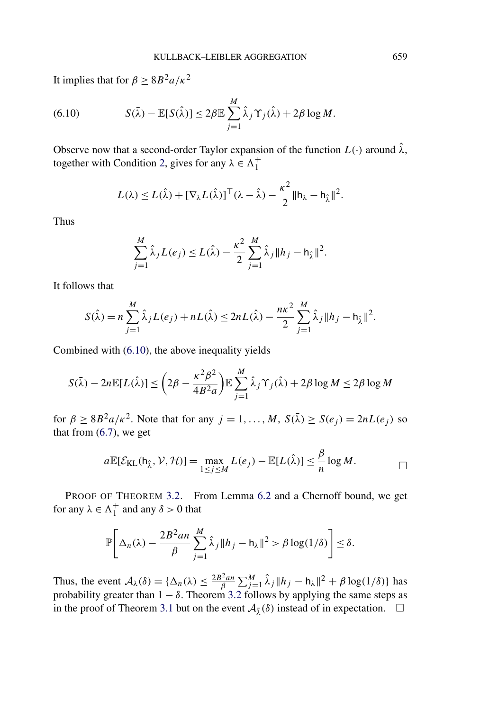It implies that for  $\beta \geq 8B^2 a/\kappa^2$ 

(6.10) 
$$
S(\bar{\lambda}) - \mathbb{E}[S(\hat{\lambda})] \leq 2\beta \mathbb{E} \sum_{j=1}^{M} \hat{\lambda}_j \Upsilon_j(\hat{\lambda}) + 2\beta \log M.
$$

Observe now that a second-order Taylor expansion of the function  $L(\cdot)$  around  $\hat{\lambda}$ , together with Condition [2,](#page-7-0) gives for any  $\lambda \in \Lambda_1^+$ 

$$
L(\lambda) \leq L(\hat{\lambda}) + [\nabla_{\lambda} L(\hat{\lambda})]^{\top} (\lambda - \hat{\lambda}) - \frac{\kappa^2}{2} ||h_{\lambda} - h_{\hat{\lambda}}||^2.
$$

Thus

$$
\sum_{j=1}^{M} \hat{\lambda}_{j} L(e_{j}) \leq L(\hat{\lambda}) - \frac{\kappa^{2}}{2} \sum_{j=1}^{M} \hat{\lambda}_{j} \|h_{j} - h_{\hat{\lambda}}\|^{2}.
$$

It follows that

$$
S(\hat{\lambda}) = n \sum_{j=1}^{M} \hat{\lambda}_{j} L(e_{j}) + n L(\hat{\lambda}) \le 2nL(\hat{\lambda}) - \frac{n\kappa^{2}}{2} \sum_{j=1}^{M} \hat{\lambda}_{j} ||h_{j} - h_{\hat{\lambda}}||^{2}.
$$

Combined with (6.10), the above inequality yields

$$
S(\bar{\lambda}) - 2n \mathbb{E}[L(\hat{\lambda})] \leq \left(2\beta - \frac{\kappa^2 \beta^2}{4B^2 a}\right) \mathbb{E} \sum_{j=1}^M \hat{\lambda}_j \Upsilon_j(\hat{\lambda}) + 2\beta \log M \leq 2\beta \log M
$$

for  $\beta \geq 8B^2a/\kappa^2$ . Note that for any  $j = 1, ..., M$ ,  $S(\overline{\lambda}) \geq S(e_j) = 2nL(e_j)$  so that from  $(6.7)$ , we get

$$
a\mathbb{E}[\mathcal{E}_{\text{KL}}(\mathsf{h}_{\hat{\lambda}}, \mathcal{V}, \mathcal{H})] = \max_{1 \leq j \leq M} L(e_j) - \mathbb{E}[L(\hat{\lambda})] \leq \frac{\beta}{n} \log M.
$$

PROOF OF THEOREM [3.2.](#page-8-0) From Lemma [6.2](#page-18-0) and a Chernoff bound, we get for any  $\lambda \in \Lambda_1^+$  and any  $\delta > 0$  that

$$
\mathbb{P}\bigg[\Delta_n(\lambda) - \frac{2B^2an}{\beta}\sum_{j=1}^M\hat{\lambda}_j\|h_j - h_\lambda\|^2 > \beta\log(1/\delta)\bigg] \le \delta.
$$

Thus, the event  $A_{\lambda}(\delta) = {\Delta_n(\lambda) \le \frac{2B^2 a n}{\beta} \sum_{j=1}^{M} \hat{\lambda}_j ||h_j - h_{\lambda}||^2 + \beta \log(1/\delta)}$  has probability greater than  $1 - \delta$ . Theorem [3.2](#page-8-0) follows by applying the same steps as in the proof of Theorem [3.1](#page-8-0) but on the event  $A_{\overline{\lambda}}(\delta)$  instead of in expectation.  $\Box$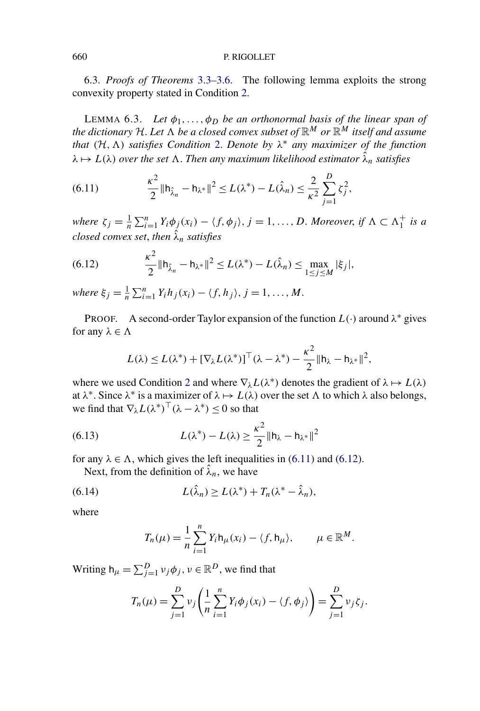6.3. *Proofs of Theorems* [3.3](#page-9-0)*–*[3.6.](#page-10-0) The following lemma exploits the strong convexity property stated in Condition [2.](#page-7-0)

LEMMA 6.3. Let  $\phi_1, \ldots, \phi_D$  *be an orthonormal basis of the linear span of the dictionary* H. Let  $\Lambda$  be a closed convex subset of  $\mathbb{R}^M$  or  $\mathbb{R}^M$  itself and assume *that*  $(H, \Lambda)$  *satisfies Condition* [2.](#page-7-0) *Denote by*  $\lambda^*$  *any maximizer of the function*  $\lambda \mapsto L(\lambda)$  *over the set*  $\Lambda$ . *Then any maximum likelihood estimator*  $\hat{\lambda}_n$  *satisfies* 

(6.11) 
$$
\frac{\kappa^2}{2} \|\mathbf{h}_{\hat{\lambda}_n} - \mathbf{h}_{\lambda^*}\|^2 \le L(\lambda^*) - L(\hat{\lambda}_n) \le \frac{2}{\kappa^2} \sum_{j=1}^D \zeta_j^2,
$$

*where*  $\zeta_j = \frac{1}{n} \sum_{i=1}^n Y_i \phi_j(x_i) - \langle f, \phi_j \rangle$ ,  $j = 1, \ldots, D$ . *Moreover*, *if*  $\Lambda \subset \Lambda_1^+$  *is a closed convex set*, *then λ*ˆ *<sup>n</sup> satisfies*

(6.12) 
$$
\frac{\kappa^2}{2} \|\mathbf{h}_{\hat{\lambda}_n} - \mathbf{h}_{\lambda^*}\|^2 \le L(\lambda^*) - L(\hat{\lambda}_n) \le \max_{1 \le j \le M} |\xi_j|,
$$

 $where \xi_j = \frac{1}{n} \sum_{i=1}^n Y_i h_j(x_i) - \langle f, h_j \rangle, j = 1, \ldots, M.$ 

**PROOF.** A second-order Taylor expansion of the function  $L(\cdot)$  around  $\lambda^*$  gives for any  $\lambda \in \Lambda$ 

$$
L(\lambda) \leq L(\lambda^*) + [\nabla_{\lambda} L(\lambda^*)]^{\top} (\lambda - \lambda^*) - \frac{\kappa^2}{2} ||h_{\lambda} - h_{\lambda^*}||^2,
$$

where we used Condition [2](#page-7-0) and where  $\nabla_{\lambda}L(\lambda^*)$  denotes the gradient of  $\lambda \mapsto L(\lambda)$ at  $\lambda^*$ . Since  $\lambda^*$  is a maximizer of  $\lambda \mapsto L(\lambda)$  over the set  $\Lambda$  to which  $\lambda$  also belongs, we find that  $\nabla_{\lambda}L(\lambda^*)^{\top}(\lambda - \lambda^*) \leq 0$  so that

(6.13) 
$$
L(\lambda^*) - L(\lambda) \geq \frac{\kappa^2}{2} ||h_{\lambda} - h_{\lambda^*}||^2
$$

for any  $\lambda \in \Lambda$ , which gives the left inequalities in (6.11) and (6.12).

Next, from the definition of  $\hat{\lambda}_n$ , we have

(6.14) 
$$
L(\hat{\lambda}_n) \ge L(\lambda^*) + T_n(\lambda^* - \hat{\lambda}_n),
$$

where

$$
T_n(\mu) = \frac{1}{n} \sum_{i=1}^n Y_i \mathsf{h}_{\mu}(x_i) - \langle f, \mathsf{h}_{\mu} \rangle, \qquad \mu \in \mathbb{R}^M.
$$

Writing  $h_{\mu} = \sum_{j=1}^{D} v_j \phi_j$ ,  $v \in \mathbb{R}^D$ , we find that

$$
T_n(\mu) = \sum_{j=1}^D \nu_j \left( \frac{1}{n} \sum_{i=1}^n Y_i \phi_j(x_i) - \langle f, \phi_j \rangle \right) = \sum_{j=1}^D \nu_j \zeta_j.
$$

<span id="page-21-0"></span>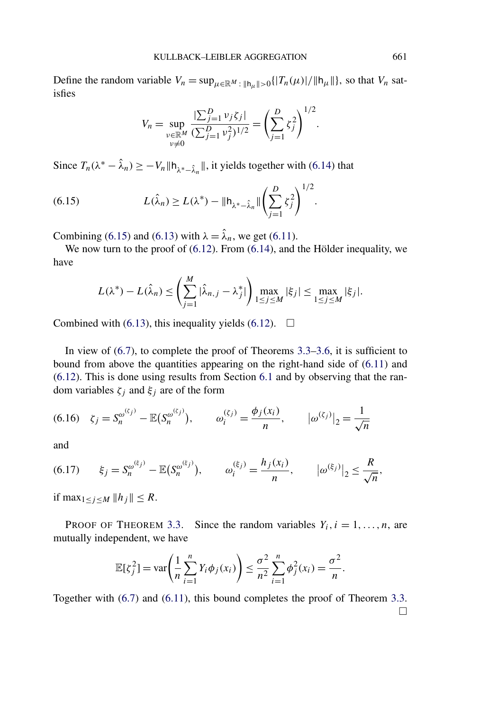<span id="page-22-0"></span>Define the random variable  $V_n = \sup_{\mu \in \mathbb{R}^M : ||h_\mu|| > 0} \{ |T_n(\mu)| / ||h_\mu|| \}$ , so that  $V_n$  satisfies

$$
V_n = \sup_{\substack{\nu \in \mathbb{R}^M \\ \nu \neq 0}} \frac{|\sum_{j=1}^D \nu_j \zeta_j|}{(\sum_{j=1}^D \nu_j^2)^{1/2}} = \left(\sum_{j=1}^D \zeta_j^2\right)^{1/2}.
$$

Since  $T_n(\lambda^* - \hat{\lambda}_n) \ge -V_n \|\mathsf{h}_{\lambda^*-\hat{\lambda}_n}\|$ , it yields together with [\(6.14\)](#page-21-0) that

(6.15) 
$$
L(\hat{\lambda}_n) \ge L(\lambda^*) - ||h_{\lambda^* - \hat{\lambda}_n}|| \left(\sum_{j=1}^D \zeta_j^2\right)^{1/2}.
$$

Combining (6.15) and [\(6.13\)](#page-21-0) with  $\lambda = \hat{\lambda}_n$ , we get [\(6.11\)](#page-21-0).

We now turn to the proof of [\(6.12\)](#page-21-0). From [\(6.14\)](#page-21-0), and the Hölder inequality, we have

$$
L(\lambda^*)-L(\hat{\lambda}_n) \leq \left(\sum_{j=1}^M |\hat{\lambda}_{n,j}-\lambda_j^*| \right) \max_{1 \leq j \leq M} |\xi_j| \leq \max_{1 \leq j \leq M} |\xi_j|.
$$

Combined with [\(6.13\)](#page-21-0), this inequality yields [\(6.12\)](#page-21-0).  $\Box$ 

In view of [\(6.7\)](#page-18-0), to complete the proof of Theorems [3.3](#page-9-0)[–3.6,](#page-10-0) it is sufficient to bound from above the quantities appearing on the right-hand side of [\(6.11\)](#page-21-0) and [\(6.12\)](#page-21-0). This is done using results from Section [6.1](#page-17-0) and by observing that the random variables *ζj* and *ξj* are of the form

$$
(6.16) \quad \zeta_j = S_n^{\omega^{(\zeta_j)}} - \mathbb{E}(S_n^{\omega^{(\zeta_j)}}), \qquad \omega_i^{(\zeta_j)} = \frac{\phi_j(x_i)}{n}, \qquad |\omega^{(\zeta_j)}|_2 = \frac{1}{\sqrt{n}}
$$

and

(6.17) 
$$
\xi_j = S_n^{\omega^{(\xi_j)}} - \mathbb{E}(S_n^{\omega^{(\xi_j)}}), \qquad \omega_i^{(\xi_j)} = \frac{h_j(x_i)}{n}, \qquad |\omega^{(\xi_j)}|_2 \le \frac{R}{\sqrt{n}},
$$

if max<sub>1≤*j*≤*M*  $||h_j||$  ≤ *R*.</sub>

PROOF OF THEOREM [3.3.](#page-9-0) Since the random variables  $Y_i$ ,  $i = 1, ..., n$ , are mutually independent, we have

$$
\mathbb{E}[\zeta_j^2] = \text{var}\bigg(\frac{1}{n}\sum_{i=1}^n Y_i \phi_j(x_i)\bigg) \le \frac{\sigma^2}{n^2}\sum_{i=1}^n \phi_j^2(x_i) = \frac{\sigma^2}{n}.
$$

Together with [\(6.7\)](#page-18-0) and [\(6.11\)](#page-21-0), this bound completes the proof of Theorem [3.3.](#page-9-0)  $\Box$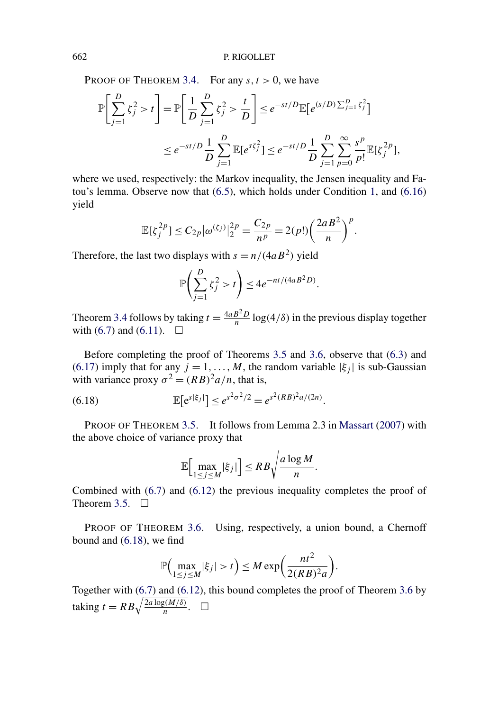PROOF OF THEOREM [3.4.](#page-9-0) For any  $s, t > 0$ , we have

$$
\mathbb{P}\bigg[\sum_{j=1}^{D} \zeta_j^2 > t\bigg] = \mathbb{P}\bigg[\frac{1}{D} \sum_{j=1}^{D} \zeta_j^2 > \frac{t}{D}\bigg] \le e^{-st/D} \mathbb{E}\big[e^{(s/D)\sum_{j=1}^{D} \zeta_j^2}\big]
$$
  

$$
\le e^{-st/D} \frac{1}{D} \sum_{j=1}^{D} \mathbb{E}[e^{s\zeta_j^2}] \le e^{-st/D} \frac{1}{D} \sum_{j=1}^{D} \sum_{p=0}^{\infty} \frac{s^p}{p!} \mathbb{E}[\zeta_j^{2p}],
$$

where we used, respectively: the Markov inequality, the Jensen inequality and Fatou's lemma. Observe now that [\(6.5\)](#page-17-0), which holds under Condition [1,](#page-7-0) and [\(6.16\)](#page-22-0) yield

$$
\mathbb{E}[\zeta_j^{2p}] \le C_{2p} |\omega^{(\zeta_j)}|_2^{2p} = \frac{C_{2p}}{n^p} = 2(p!) \left(\frac{2aB^2}{n}\right)^p.
$$

Therefore, the last two displays with  $s = n/(4aB^2)$  yield

$$
\mathbb{P}\bigg(\sum_{j=1}^D \zeta_j^2 > t\bigg) \le 4e^{-nt/(4aB^2D)}.
$$

Theorem [3.4](#page-9-0) follows by taking  $t = \frac{4aB^2D}{n} \log(4/\delta)$  in the previous display together with [\(6.7\)](#page-18-0) and [\(6.11\)](#page-21-0).  $\Box$ 

Before completing the proof of Theorems [3.5](#page-10-0) and [3.6,](#page-10-0) observe that [\(6.3\)](#page-17-0) and [\(6.17\)](#page-22-0) imply that for any  $j = 1, ..., M$ , the random variable  $|\xi_j|$  is sub-Gaussian with variance proxy  $\sigma^2 = (RB)^2 a/n$ , that is,

(6.18) 
$$
\mathbb{E}[e^{s|\xi_j|}] \leq e^{s^2 \sigma^2/2} = e^{s^2 (RB)^2 a/(2n)}.
$$

PROOF OF THEOREM [3.5.](#page-10-0) It follows from Lemma 2.3 in [Massart](#page-25-0) [\(2007\)](#page-25-0) with the above choice of variance proxy that

$$
\mathbb{E}\Big[\max_{1\leq j\leq M}|\xi_j|\Big]\leq RB\sqrt{\frac{a\log M}{n}}.
$$

Combined with [\(6.7\)](#page-18-0) and [\(6.12\)](#page-21-0) the previous inequality completes the proof of Theorem [3.5.](#page-10-0)  $\Box$ 

PROOF OF THEOREM [3.6.](#page-10-0) Using, respectively, a union bound, a Chernoff bound and (6.18), we find

$$
\mathbb{P}\Big(\max_{1\leq j\leq M}|\xi_j|>t\Big)\leq M\exp\bigg(\frac{nt^2}{2(RB)^2a}\bigg).
$$

Together with [\(6.7\)](#page-18-0) and [\(6.12\)](#page-21-0), this bound completes the proof of Theorem [3.6](#page-10-0) by taking  $t = RB\sqrt{\frac{2a\log(M/\delta)}{n}}$ .  $\Box$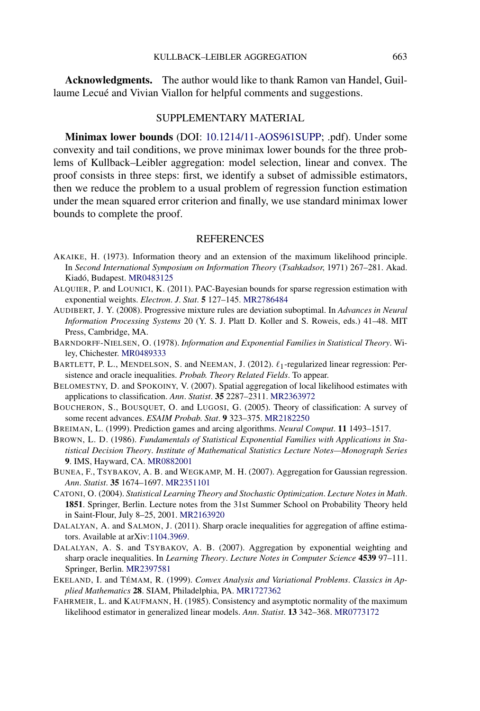<span id="page-24-0"></span>**Acknowledgments.** The author would like to thank Ramon van Handel, Guillaume Lecué and Vivian Viallon for helpful comments and suggestions.

## SUPPLEMENTARY MATERIAL

**Minimax lower bounds** (DOI: [10.1214/11-AOS961SUPP](http://dx.doi.org/10.1214/11-AOS961SUPP); .pdf). Under some convexity and tail conditions, we prove minimax lower bounds for the three problems of Kullback–Leibler aggregation: model selection, linear and convex. The proof consists in three steps: first, we identify a subset of admissible estimators, then we reduce the problem to a usual problem of regression function estimation under the mean squared error criterion and finally, we use standard minimax lower bounds to complete the proof.

### REFERENCES

- AKAIKE, H. (1973). Information theory and an extension of the maximum likelihood principle. In *Second International Symposium on Information Theory* (*Tsahkadsor*, 1971) 267–281. Akad. Kiadó, Budapest. [MR0483125](http://www.ams.org/mathscinet-getitem?mr=0483125)
- ALQUIER, P. and LOUNICI, K. (2011). PAC-Bayesian bounds for sparse regression estimation with exponential weights. *Electron*. *J*. *Stat*. **5** 127–145. [MR2786484](http://www.ams.org/mathscinet-getitem?mr=2786484)
- AUDIBERT, J. Y. (2008). Progressive mixture rules are deviation suboptimal. In *Advances in Neural Information Processing Systems* 20 (Y. S. J. Platt D. Koller and S. Roweis, eds.) 41–48. MIT Press, Cambridge, MA.
- BARNDORFF-NIELSEN, O. (1978). *Information and Exponential Families in Statistical Theory*. Wiley, Chichester. [MR0489333](http://www.ams.org/mathscinet-getitem?mr=0489333)
- BARTLETT, P. L., MENDELSON, S. and NEEMAN, J. (2012).  $\ell_1$ -regularized linear regression: Persistence and oracle inequalities. *Probab. Theory Related Fields*. To appear.
- BELOMESTNY, D. and SPOKOINY, V. (2007). Spatial aggregation of local likelihood estimates with applications to classification. *Ann*. *Statist*. **35** 2287–2311. [MR2363972](http://www.ams.org/mathscinet-getitem?mr=2363972)
- BOUCHERON, S., BOUSQUET, O. and LUGOSI, G. (2005). Theory of classification: A survey of some recent advances. *ESAIM Probab*. *Stat*. **9** 323–375. [MR2182250](http://www.ams.org/mathscinet-getitem?mr=2182250)
- BREIMAN, L. (1999). Prediction games and arcing algorithms. *Neural Comput*. **11** 1493–1517.
- BROWN, L. D. (1986). *Fundamentals of Statistical Exponential Families with Applications in Statistical Decision Theory*. *Institute of Mathematical Statistics Lecture Notes—Monograph Series* **9**. IMS, Hayward, CA. [MR0882001](http://www.ams.org/mathscinet-getitem?mr=0882001)
- BUNEA, F., TSYBAKOV, A. B. and WEGKAMP, M. H. (2007). Aggregation for Gaussian regression. *Ann*. *Statist*. **35** 1674–1697. [MR2351101](http://www.ams.org/mathscinet-getitem?mr=2351101)
- CATONI, O. (2004). *Statistical Learning Theory and Stochastic Optimization*. *Lecture Notes in Math*. **1851**. Springer, Berlin. Lecture notes from the 31st Summer School on Probability Theory held in Saint-Flour, July 8–25, 2001. [MR2163920](http://www.ams.org/mathscinet-getitem?mr=2163920)
- DALALYAN, A. and SALMON, J. (2011). Sharp oracle inequalities for aggregation of affine estimators. Available at arXiv[:1104.3969.](http://arxiv.org/abs/1104.3969)
- DALALYAN, A. S. and TSYBAKOV, A. B. (2007). Aggregation by exponential weighting and sharp oracle inequalities. In *Learning Theory*. *Lecture Notes in Computer Science* **4539** 97–111. Springer, Berlin. [MR2397581](http://www.ams.org/mathscinet-getitem?mr=2397581)
- EKELAND, I. and TÉMAM, R. (1999). *Convex Analysis and Variational Problems*. *Classics in Applied Mathematics* **28**. SIAM, Philadelphia, PA. [MR1727362](http://www.ams.org/mathscinet-getitem?mr=1727362)
- FAHRMEIR, L. and KAUFMANN, H. (1985). Consistency and asymptotic normality of the maximum likelihood estimator in generalized linear models. *Ann*. *Statist*. **13** 342–368. [MR0773172](http://www.ams.org/mathscinet-getitem?mr=0773172)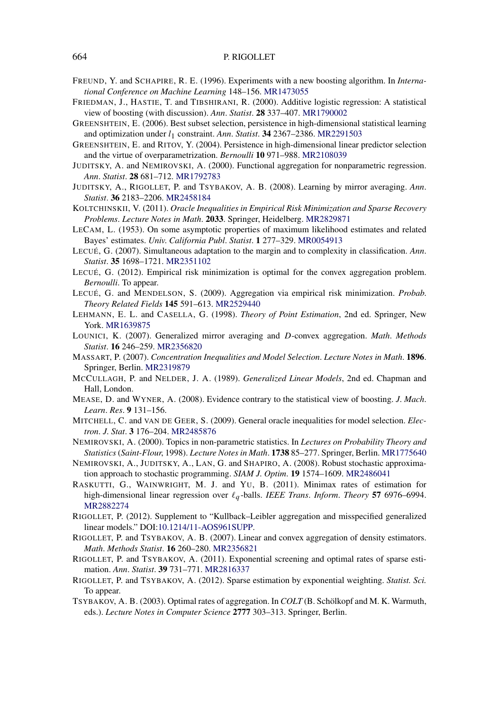- <span id="page-25-0"></span>FREUND, Y. and SCHAPIRE, R. E. (1996). Experiments with a new boosting algorithm. In *International Conference on Machine Learning* 148–156. [MR1473055](http://www.ams.org/mathscinet-getitem?mr=1473055)
- FRIEDMAN, J., HASTIE, T. and TIBSHIRANI, R. (2000). Additive logistic regression: A statistical view of boosting (with discussion). *Ann*. *Statist*. **28** 337–407. [MR1790002](http://www.ams.org/mathscinet-getitem?mr=1790002)
- GREENSHTEIN, E. (2006). Best subset selection, persistence in high-dimensional statistical learning and optimization under *l*1 constraint. *Ann*. *Statist*. **34** 2367–2386. [MR2291503](http://www.ams.org/mathscinet-getitem?mr=2291503)
- GREENSHTEIN, E. and RITOV, Y. (2004). Persistence in high-dimensional linear predictor selection and the virtue of overparametrization. *Bernoulli* **10** 971–988. [MR2108039](http://www.ams.org/mathscinet-getitem?mr=2108039)
- JUDITSKY, A. and NEMIROVSKI, A. (2000). Functional aggregation for nonparametric regression. *Ann*. *Statist*. **28** 681–712. [MR1792783](http://www.ams.org/mathscinet-getitem?mr=1792783)
- JUDITSKY, A., RIGOLLET, P. and TSYBAKOV, A. B. (2008). Learning by mirror averaging. *Ann*. *Statist*. **36** 2183–2206. [MR2458184](http://www.ams.org/mathscinet-getitem?mr=2458184)
- KOLTCHINSKII, V. (2011). *Oracle Inequalities in Empirical Risk Minimization and Sparse Recovery Problems*. *Lecture Notes in Math*. **2033**. Springer, Heidelberg. [MR2829871](http://www.ams.org/mathscinet-getitem?mr=2829871)
- LECAM, L. (1953). On some asymptotic properties of maximum likelihood estimates and related Bayes' estimates. *Univ*. *California Publ*. *Statist*. **1** 277–329. [MR0054913](http://www.ams.org/mathscinet-getitem?mr=0054913)
- LECUÉ, G. (2007). Simultaneous adaptation to the margin and to complexity in classification. *Ann*. *Statist*. **35** 1698–1721. [MR2351102](http://www.ams.org/mathscinet-getitem?mr=2351102)
- LECUÉ, G. (2012). Empirical risk minimization is optimal for the convex aggregation problem. *Bernoulli*. To appear.
- LECUÉ, G. and MENDELSON, S. (2009). Aggregation via empirical risk minimization. *Probab*. *Theory Related Fields* **145** 591–613. [MR2529440](http://www.ams.org/mathscinet-getitem?mr=2529440)
- LEHMANN, E. L. and CASELLA, G. (1998). *Theory of Point Estimation*, 2nd ed. Springer, New York. [MR1639875](http://www.ams.org/mathscinet-getitem?mr=1639875)
- LOUNICI, K. (2007). Generalized mirror averaging and *D*-convex aggregation. *Math*. *Methods Statist*. **16** 246–259. [MR2356820](http://www.ams.org/mathscinet-getitem?mr=2356820)
- MASSART, P. (2007). *Concentration Inequalities and Model Selection*. *Lecture Notes in Math*. **1896**. Springer, Berlin. [MR2319879](http://www.ams.org/mathscinet-getitem?mr=2319879)
- MCCULLAGH, P. and NELDER, J. A. (1989). *Generalized Linear Models*, 2nd ed. Chapman and Hall, London.
- MEASE, D. and WYNER, A. (2008). Evidence contrary to the statistical view of boosting. *J*. *Mach*. *Learn*. *Res*. **9** 131–156.
- MITCHELL, C. and VAN DE GEER, S. (2009). General oracle inequalities for model selection. *Electron*. *J*. *Stat*. **3** 176–204. [MR2485876](http://www.ams.org/mathscinet-getitem?mr=2485876)
- NEMIROVSKI, A. (2000). Topics in non-parametric statistics. In *Lectures on Probability Theory and Statistics* (*Saint-Flour*, 1998). *Lecture Notes in Math*. **1738** 85–277. Springer, Berlin. [MR1775640](http://www.ams.org/mathscinet-getitem?mr=1775640)
- NEMIROVSKI, A., JUDITSKY, A., LAN, G. and SHAPIRO, A. (2008). Robust stochastic approximation approach to stochastic programming. *SIAM J*. *Optim*. **19** 1574–1609. [MR2486041](http://www.ams.org/mathscinet-getitem?mr=2486041)
- RASKUTTI, G., WAINWRIGHT, M. J. and YU, B. (2011). Minimax rates of estimation for high-dimensional linear regression over *q* -balls. *IEEE Trans*. *Inform*. *Theory* **57** 6976–6994. [MR2882274](http://www.ams.org/mathscinet-getitem?mr=2882274)
- RIGOLLET, P. (2012). Supplement to "Kullback–Leibler aggregation and misspecified generalized linear models." DOI[:10.1214/11-AOS961SUPP](http://dx.doi.org/10.1214/11-AOS961SUPP).
- RIGOLLET, P. and TSYBAKOV, A. B. (2007). Linear and convex aggregation of density estimators. *Math*. *Methods Statist*. **16** 260–280. [MR2356821](http://www.ams.org/mathscinet-getitem?mr=2356821)
- RIGOLLET, P. and TSYBAKOV, A. (2011). Exponential screening and optimal rates of sparse estimation. *Ann*. *Statist*. **39** 731–771. [MR2816337](http://www.ams.org/mathscinet-getitem?mr=2816337)
- RIGOLLET, P. and TSYBAKOV, A. (2012). Sparse estimation by exponential weighting. *Statist. Sci.* To appear.
- TSYBAKOV, A. B. (2003). Optimal rates of aggregation. In *COLT* (B. Schölkopf and M. K. Warmuth, eds.). *Lecture Notes in Computer Science* **2777** 303–313. Springer, Berlin.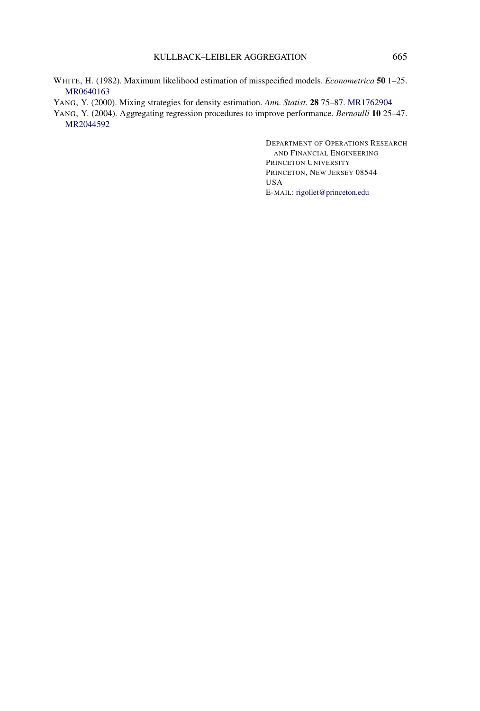### KULLBACK–LEIBLER AGGREGATION 665

- <span id="page-26-0"></span>WHITE, H. (1982). Maximum likelihood estimation of misspecified models. *Econometrica* **50** 1–25. [MR0640163](http://www.ams.org/mathscinet-getitem?mr=0640163)
- YANG, Y. (2000). Mixing strategies for density estimation. *Ann*. *Statist*. **28** 75–87. [MR1762904](http://www.ams.org/mathscinet-getitem?mr=1762904)
- YANG, Y. (2004). Aggregating regression procedures to improve performance. *Bernoulli* **10** 25–47. [MR2044592](http://www.ams.org/mathscinet-getitem?mr=2044592)

DEPARTMENT OF OPERATIONS RESEARCH AND FINANCIAL ENGINEERING PRINCETON UNIVERSITY PRINCETON, NEW JERSEY 08544 USA E-MAIL: [rigollet@princeton.edu](mailto:rigollet@princeton.edu)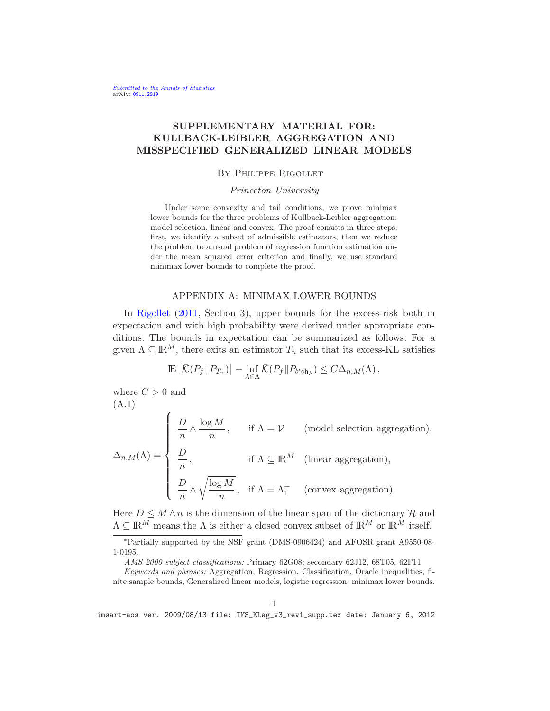# SUPPLEMENTARY MATERIAL FOR: KULLBACK-LEIBLER AGGREGATION AND MISSPECIFIED GENERALIZED LINEAR MODELS

### By Philippe Rigollet

### Princeton University

Under some convexity and tail conditions, we prove minimax lower bounds for the three problems of Kullback-Leibler aggregation: model selection, linear and convex. The proof consists in three steps: first, we identify a subset of admissible estimators, then we reduce the problem to a usual problem of regression function estimation under the mean squared error criterion and finally, we use standard minimax lower bounds to complete the proof.

### APPENDIX A: MINIMAX LOWER BOUNDS

In [Rigollet](#page-40-0) [\(2011](#page-40-0), Section 3), upper bounds for the excess-risk both in expectation and with high probability were derived under appropriate conditions. The bounds in expectation can be summarized as follows. For a given  $\Lambda \subseteq \mathbb{R}^M$ , there exits an estimator  $T_n$  such that its excess-KL satisfies

$$
\mathbb{E}\left[\bar{\mathcal{K}}(P_f \| P_{T_n})\right] - \inf_{\lambda \in \Lambda} \bar{\mathcal{K}}(P_f \| P_{b' \circ h_{\lambda}}) \leq C \Delta_{n,M}(\Lambda),
$$

where  $C > 0$  and (A.1)

<span id="page-27-0"></span>
$$
\Delta_{n,M}(\Lambda) = \begin{cases} \begin{array}{c} D \\ \frac{D}{n} \wedge \frac{\log M}{n}, \quad & \text{if } \Lambda = \mathcal{V} \quad \text{(model selection aggregation)}, \end{array} \\ \begin{array}{c} \frac{D}{n}, \quad & \text{if } \Lambda \subseteq \mathbb{R}^M \quad \text{(linear aggregation)}, \end{array} \\ \begin{array}{c} \frac{D}{n} \wedge \sqrt{\frac{\log M}{n}}, \quad \text{if } \Lambda = \Lambda_1^+ \quad \text{(convex aggregation)}. \end{array}
$$

Here  $D \leq M \wedge n$  is the dimension of the linear span of the dictionary H and  $\Lambda \subseteq \mathbb{R}^M$  means the  $\Lambda$  is either a closed convex subset of  $\mathbb{R}^M$  or  $\mathbb{R}^M$  itself.

<sup>∗</sup>Partially supported by the NSF grant (DMS-0906424) and AFOSR grant A9550-08- 1-0195.

*AMS 2000 subject classifications:* Primary 62G08; secondary 62J12, 68T05, 62F11

*Keywords and phrases:* Aggregation, Regression, Classification, Oracle inequalities, finite sample bounds, Generalized linear models, logistic regression, minimax lower bounds.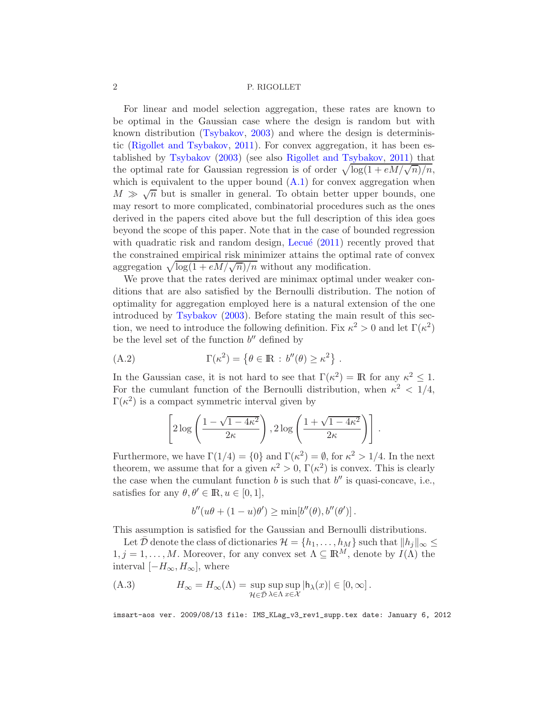For linear and model selection aggregation, these rates are known to be optimal in the Gaussian case where the design is random but with known distribution [\(Tsybakov,](#page-40-1) [2003](#page-40-1)) and where the design is deterministic [\(Rigollet and Tsybakov](#page-40-2), [2011](#page-40-2)). For convex aggregation, it has been established by [Tsybakov](#page-40-1) [\(2003](#page-40-1)) (see also [Rigollet and Tsybakov,](#page-40-2) [2011\)](#page-40-2) that the optimal rate for Gaussian regression is of order  $\sqrt{\log(1 + eM/\sqrt{n})/n}$ , which is equivalent to the upper bound  $(A.1)$  for convex aggregation when  $M \gg \sqrt{n}$  but is smaller in general. To obtain better upper bounds, one may resort to more complicated, combinatorial procedures such as the ones derived in the papers cited above but the full description of this idea goes beyond the scope of this paper. Note that in the case of bounded regression with quadratic risk and random design, Lecué  $(2011)$  $(2011)$  recently proved that the constrained empirical risk minimizer attains the optimal rate of convex aggregation  $\sqrt{\log(1 + eM/\sqrt{n})/n}$  without any modification.

We prove that the rates derived are minimax optimal under weaker conditions that are also satisfied by the Bernoulli distribution. The notion of optimality for aggregation employed here is a natural extension of the one introduced by [Tsybakov](#page-40-1) [\(2003](#page-40-1)). Before stating the main result of this section, we need to introduce the following definition. Fix  $\kappa^2 > 0$  and let  $\Gamma(\kappa^2)$ be the level set of the function  $b''$  defined by

(A.2) 
$$
\Gamma(\kappa^2) = \{ \theta \in \mathbb{R} : b''(\theta) \ge \kappa^2 \} .
$$

In the Gaussian case, it is not hard to see that  $\Gamma(\kappa^2) = \mathbb{R}$  for any  $\kappa^2 \leq 1$ . For the cumulant function of the Bernoulli distribution, when  $\kappa^2 < 1/4$ ,  $\Gamma(\kappa^2)$  is a compact symmetric interval given by

$$
\left[2\log\left(\frac{1-\sqrt{1-4\kappa^2}}{2\kappa}\right), 2\log\left(\frac{1+\sqrt{1-4\kappa^2}}{2\kappa}\right)\right].
$$

Furthermore, we have  $\Gamma(1/4) = \{0\}$  and  $\Gamma(\kappa^2) = \emptyset$ , for  $\kappa^2 > 1/4$ . In the next theorem, we assume that for a given  $\kappa^2 > 0$ ,  $\Gamma(\kappa^2)$  is convex. This is clearly the case when the cumulant function  $b$  is such that  $b''$  is quasi-concave, i.e., satisfies for any  $\theta, \theta' \in \mathbb{R}, u \in [0, 1],$ 

$$
b''(u\theta + (1-u)\theta') \ge \min[b''(\theta), b''(\theta')].
$$

This assumption is satisfied for the Gaussian and Bernoulli distributions.

Let D denote the class of dictionaries  $\mathcal{H} = \{h_1, \ldots, h_M\}$  such that  $||h_j||_{\infty} \leq$  $1, j = 1, \ldots, M$ . Moreover, for any convex set  $\Lambda \subseteq \mathbb{R}^M$ , denote by  $I(\Lambda)$  the interval  $[-H_{\infty}, H_{\infty}],$  where

(A.3) 
$$
H_{\infty} = H_{\infty}(\Lambda) = \sup_{\mathcal{H} \in \bar{\mathcal{D}}} \sup_{\lambda \in \Lambda} \sup_{x \in \mathcal{X}} |h_{\lambda}(x)| \in [0, \infty].
$$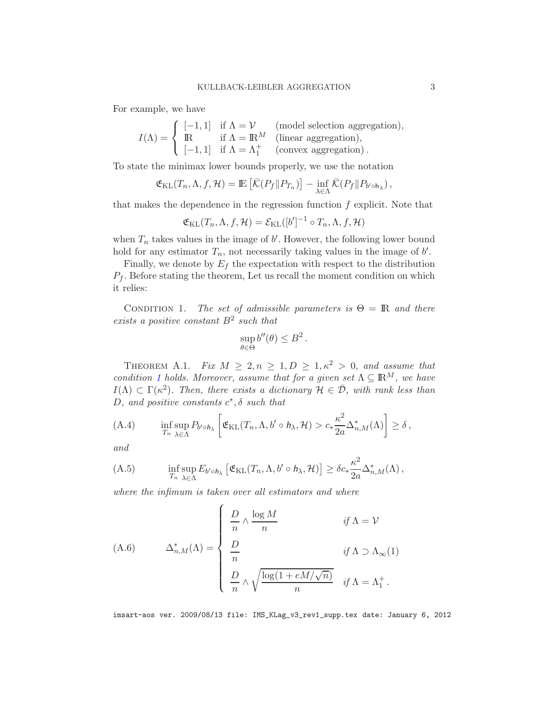For example, we have

$$
I(\Lambda) = \begin{cases} [-1,1] & \text{if } \Lambda = \mathcal{V} \qquad \text{(model selection aggregation)},\\ \mathbb{R} & \text{if } \Lambda = \mathbb{R}^M \qquad \text{(linear aggregation)},\\ [-1,1] & \text{if } \Lambda = \Lambda_1^+ \qquad \text{(convex aggregation)}. \end{cases}
$$

To state the minimax lower bounds properly, we use the notation

$$
\mathfrak{E}_{\mathrm{KL}}(T_n, \Lambda, f, \mathcal{H}) = \mathbb{E}\left[\bar{\mathcal{K}}(P_f \| P_{T_n})\right] - \inf_{\lambda \in \Lambda} \bar{\mathcal{K}}(P_f \| P_{b' \circ h_{\lambda}}),
$$

that makes the dependence in the regression function  $f$  explicit. Note that

$$
\mathfrak{E}_{\mathrm{KL}}(T_n, \Lambda, f, \mathcal{H}) = \mathcal{E}_{\mathrm{KL}}([b']^{-1} \circ T_n, \Lambda, f, \mathcal{H})
$$

when  $T_n$  takes values in the image of  $b'$ . However, the following lower bound hold for any estimator  $T_n$ , not necessarily taking values in the image of  $b'$ .

Finally, we denote by  $E_f$  the expectation with respect to the distribution  $P_f$ . Before stating the theorem, Let us recall the moment condition on which it relies:

<span id="page-29-0"></span>CONDITION 1. The set of admissible parameters is  $\Theta = \mathbb{R}$  and there exists a positive constant  $B^2$  such that

$$
\sup_{\theta \in \Theta} b''(\theta) \le B^2.
$$

<span id="page-29-2"></span>THEOREM A.1. Fix  $M \geq 2, n \geq 1, D \geq 1, \kappa^2 > 0$ , and assume that condition [1](#page-29-0) holds. Moreover, assume that for a given set  $\Lambda \subseteq \mathbb{R}^M$ , we have  $I(\Lambda) \subset \Gamma(\kappa^2)$ . Then, there exists a dictionary  $\mathcal{H} \in \bar{\mathcal{D}}$ , with rank less than D, and positive constants  $c^*, \delta$  such that

<span id="page-29-3"></span>(A.4) 
$$
\inf_{T_n} \sup_{\lambda \in \Lambda} P_{b' \circ h_{\lambda}} \left[ \mathfrak{E}_{\mathrm{KL}}(T_n, \Lambda, b' \circ h_{\lambda}, \mathcal{H}) > c_* \frac{\kappa^2}{2a} \Delta_{n,M}^*(\Lambda) \right] \ge \delta,
$$

and

<span id="page-29-1"></span>(A.5) 
$$
\inf_{T_n} \sup_{\lambda \in \Lambda} E_{b' \circ h_\lambda} \left[ \mathfrak{E}_{\mathrm{KL}}(T_n, \Lambda, b' \circ h_\lambda, \mathcal{H}) \right] \geq \delta c_* \frac{\kappa^2}{2a} \Delta_{n,M}^*(\Lambda),
$$

where the infimum is taken over all estimators and where

(A.6) 
$$
\Delta_{n,M}^*(\Lambda) = \begin{cases} \frac{D}{n} \wedge \frac{\log M}{n} & \text{if } \Lambda = \mathcal{V} \\ \frac{D}{n} & \text{if } \Lambda \supset \Lambda_{\infty}(1) \\ \frac{D}{n} \wedge \sqrt{\frac{\log(1 + eM/\sqrt{n})}{n}} & \text{if } \Lambda = \Lambda_1^+ \,. \end{cases}
$$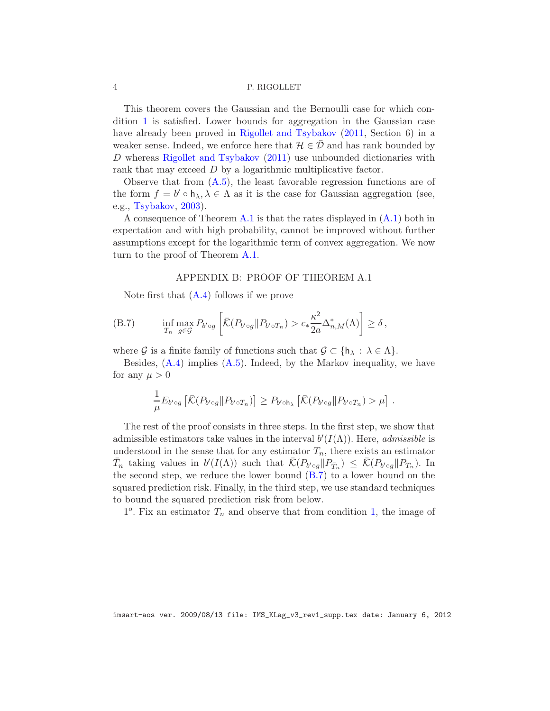This theorem covers the Gaussian and the Bernoulli case for which condition [1](#page-29-0) is satisfied. Lower bounds for aggregation in the Gaussian case have already been proved in [Rigollet and Tsybakov](#page-40-2)  $(2011, Section 6)$  $(2011, Section 6)$  in a weaker sense. Indeed, we enforce here that  $\mathcal{H} \in \mathcal{D}$  and has rank bounded by D whereas [Rigollet and Tsybakov](#page-40-2) [\(2011](#page-40-2)) use unbounded dictionaries with rank that may exceed D by a logarithmic multiplicative factor.

Observe that from [\(A.5\)](#page-29-1), the least favorable regression functions are of the form  $f = b' \circ h_\lambda, \lambda \in \Lambda$  as it is the case for Gaussian aggregation (see, e.g., [Tsybakov,](#page-40-1) [2003](#page-40-1)).

A consequence of Theorem [A.1](#page-29-2) is that the rates displayed in [\(A.1\)](#page-27-0) both in expectation and with high probability, cannot be improved without further assumptions except for the logarithmic term of convex aggregation. We now turn to the proof of Theorem [A.1.](#page-29-2)

### <span id="page-30-0"></span>APPENDIX B: PROOF OF THEOREM A.1

Note first that  $(A.4)$  follows if we prove

(B.7) 
$$
\inf_{T_n} \max_{g \in \mathcal{G}} P_{b' \circ g} \left[ \bar{\mathcal{K}}(P_{b' \circ g} || P_{b' \circ T_n}) > c_* \frac{\kappa^2}{2a} \Delta_{n,M}^*(\Lambda) \right] \ge \delta,
$$

where G is a finite family of functions such that  $\mathcal{G} \subset \{\mathsf{h}_{\lambda} : \lambda \in \Lambda\}.$ 

Besides,  $(A.4)$  implies  $(A.5)$ . Indeed, by the Markov inequality, we have for any  $\mu > 0$ 

$$
\frac{1}{\mu} E_{b' \circ g} \left[ \bar{\mathcal{K}}(P_{b' \circ g} || P_{b' \circ T_n}) \right] \ge P_{b' \circ h_\lambda} \left[ \bar{\mathcal{K}}(P_{b' \circ g} || P_{b' \circ T_n}) > \mu \right].
$$

The rest of the proof consists in three steps. In the first step, we show that admissible estimators take values in the interval  $b'(I(\Lambda))$ . Here, *admissible* is understood in the sense that for any estimator  $T_n$ , there exists an estimator  $\bar{T}_n$  taking values in  $b'(I(\Lambda))$  such that  $\bar{\mathcal{K}}(P_{b' \circ g} || P_{\bar{T}_n}) \leq \bar{\mathcal{K}}(P_{b' \circ g} || P_{T_n})$ . In the second step, we reduce the lower bound  $(B.7)$  to a lower bound on the squared prediction risk. Finally, in the third step, we use standard techniques to bound the squared prediction risk from below.

 $1^o$ . Fix an estimator  $T_n$  and observe that from condition [1,](#page-29-0) the image of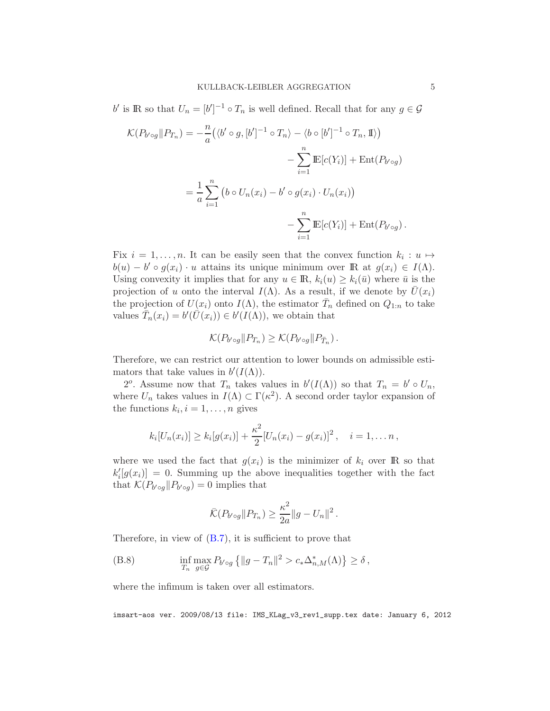b' is IR so that  $U_n = [b']^{-1} \circ T_n$  is well defined. Recall that for any  $g \in \mathcal{G}$ 

$$
\mathcal{K}(P_{b' \circ g}||P_{T_n}) = -\frac{n}{a} (\langle b' \circ g, [b']^{-1} \circ T_n \rangle - \langle b \circ [b']^{-1} \circ T_n, \mathbb{I} \rangle)
$$

$$
-\sum_{i=1}^n \mathbb{E}[c(Y_i)] + \text{Ent}(P_{b' \circ g})
$$

$$
= \frac{1}{a} \sum_{i=1}^n (b \circ U_n(x_i) - b' \circ g(x_i) \cdot U_n(x_i))
$$

$$
-\sum_{i=1}^n \mathbb{E}[c(Y_i)] + \text{Ent}(P_{b' \circ g}).
$$

Fix  $i = 1, \ldots, n$ . It can be easily seen that the convex function  $k_i : u \mapsto$  $b(u) - b' \circ g(x_i) \cdot u$  attains its unique minimum over  $\mathbb{R}$  at  $g(x_i) \in I(\Lambda)$ . Using convexity it implies that for any  $u \in \mathbb{R}$ ,  $k_i(u) \geq k_i(\bar{u})$  where  $\bar{u}$  is the projection of u onto the interval  $I(\Lambda)$ . As a result, if we denote by  $U(x_i)$ the projection of  $U(x_i)$  onto  $I(\Lambda)$ , the estimator  $\bar{T}_n$  defined on  $Q_{1:n}$  to take values  $\bar{T}_n(x_i) = b'(\bar{U}(x_i)) \in b'(I(\Lambda))$ , we obtain that

$$
\mathcal{K}(P_{b' \circ g} \| P_{T_n}) \geq \mathcal{K}(P_{b' \circ g} \| P_{\bar{T}_n}).
$$

Therefore, we can restrict our attention to lower bounds on admissible estimators that take values in  $b'(I(\Lambda))$ .

2<sup>o</sup>. Assume now that  $T_n$  takes values in  $b'(I(\Lambda))$  so that  $T_n = b' \circ U_n$ , where  $U_n$  takes values in  $I(\Lambda) \subset \Gamma(\kappa^2)$ . A second order taylor expansion of the functions  $k_i, i = 1, \ldots, n$  gives

$$
k_i[U_n(x_i)] \ge k_i[g(x_i)] + \frac{\kappa^2}{2}[U_n(x_i) - g(x_i)]^2
$$
,  $i = 1,... n$ ,

where we used the fact that  $g(x_i)$  is the minimizer of  $k_i$  over **IR** so that  $k'_{i}[g(x_{i})] = 0$ . Summing up the above inequalities together with the fact that  $\mathcal{K}(P_{b' \circ g}||P_{b' \circ g}) = 0$  implies that

<span id="page-31-0"></span>
$$
\overline{\mathcal{K}}(P_{b' \circ g} || P_{T_n}) \geq \frac{\kappa^2}{2a} ||g - U_n||^2.
$$

Therefore, in view of [\(B.7\)](#page-30-0), it is sufficient to prove that

(B.8) 
$$
\inf_{T_n} \max_{g \in \mathcal{G}} P_{b' \circ g} \{ ||g - T_n||^2 > c_* \Delta_{n,M}^*(\Lambda) \} \ge \delta,
$$

where the infimum is taken over all estimators.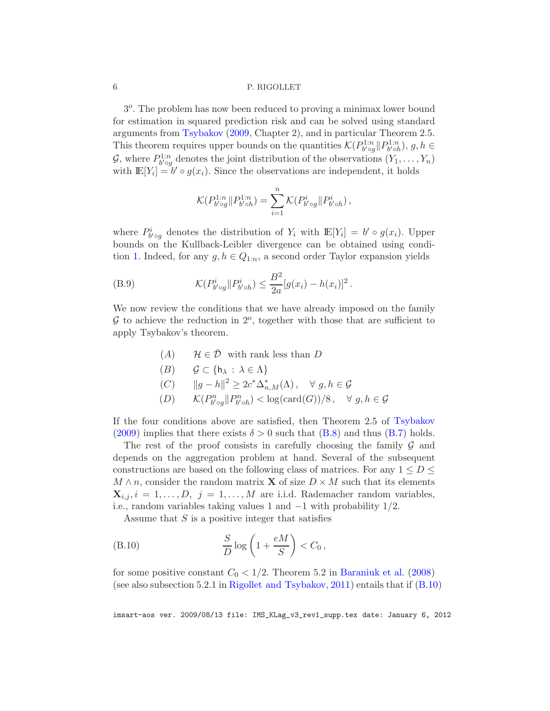3<sup>o</sup>. The problem has now been reduced to proving a minimax lower bound for estimation in squared prediction risk and can be solved using standard arguments from [Tsybakov](#page-40-4) [\(2009](#page-40-4), Chapter 2), and in particular Theorem 2.5. This theorem requires upper bounds on the quantities  $\mathcal{K}(P_{b' \circ g}^{1:n}|| P_{b' \circ h}^{1:n}), g, h \in$  $\mathcal{G}$ , where  $P_{b' \circ g}^{1:n}$  denotes the joint distribution of the observations  $(Y_1, \ldots, Y_n)$ with  $\mathbb{E}[Y_i] = b' \circ g(x_i)$ . Since the observations are independent, it holds

$$
\mathcal{K}(P_{b' \circ g}^{1:n} \| P_{b' \circ h}^{1:n}) = \sum_{i=1}^{n} \mathcal{K}(P_{b' \circ g}^{i} \| P_{b' \circ h}^{i}),
$$

where  $P_{b' \circ g}^{i}$  denotes the distribution of  $Y_i$  with  $\mathbb{E}[Y_i] = b' \circ g(x_i)$ . Upper bounds on the Kullback-Leibler divergence can be obtained using condi-tion [1.](#page-29-0) Indeed, for any  $g, h \in Q_{1:n}$ , a second order Taylor expansion yields

(B.9) 
$$
\mathcal{K}(P_{b' \circ g}^{i} || P_{b' \circ h}^{i}) \leq \frac{B^{2}}{2a} [g(x_{i}) - h(x_{i})]^{2}.
$$

We now review the conditions that we have already imposed on the family  $G$  to achieve the reduction in  $2^o$ , together with those that are sufficient to apply Tsybakov's theorem.

<span id="page-32-1"></span>(A) 
$$
\mathcal{H} \in \overline{\mathcal{D}}
$$
 with rank less than D

$$
(B) \qquad \mathcal{G} \subset \{\mathsf{h}_{\lambda} \,:\, \lambda \in \Lambda\}
$$

- (C)  $||g h||^2 \ge 2c^* \Delta_{n,M}^*(\Lambda), \quad \forall g, h \in \mathcal{G}$
- (D)  $\mathcal{K}(P_{b' \circ g}^{n} || P_{b' \circ h}^{n}) < \log(\text{card}(G))/8, \quad \forall g, h \in \mathcal{G}$

If the four conditions above are satisfied, then Theorem 2.5 of [Tsybakov](#page-40-4)  $(2009)$  implies that there exists  $\delta > 0$  such that  $(B.8)$  and thus  $(B.7)$  holds.

The rest of the proof consists in carefully choosing the family  $\mathcal G$  and depends on the aggregation problem at hand. Several of the subsequent constructions are based on the following class of matrices. For any  $1 \leq D \leq$  $M \wedge n$ , consider the random matrix **X** of size  $D \times M$  such that its elements  $\mathbf{X}_{i,j}, i = 1, \ldots, D, j = 1, \ldots, M$  are i.i.d. Rademacher random variables, i.e., random variables taking values 1 and −1 with probability 1/2.

<span id="page-32-0"></span>Assume that  $S$  is a positive integer that satisfies

(B.10) 
$$
\frac{S}{D}\log\left(1+\frac{eM}{S}\right) < C_0,
$$

for some positive constant  $C_0 < 1/2$ . Theorem 5.2 in [Baraniuk et al.](#page-40-5) [\(2008](#page-40-5)) (see also subsection 5.2.1 in [Rigollet and Tsybakov,](#page-40-2) [2011](#page-40-2)) entails that if [\(B.10\)](#page-32-0)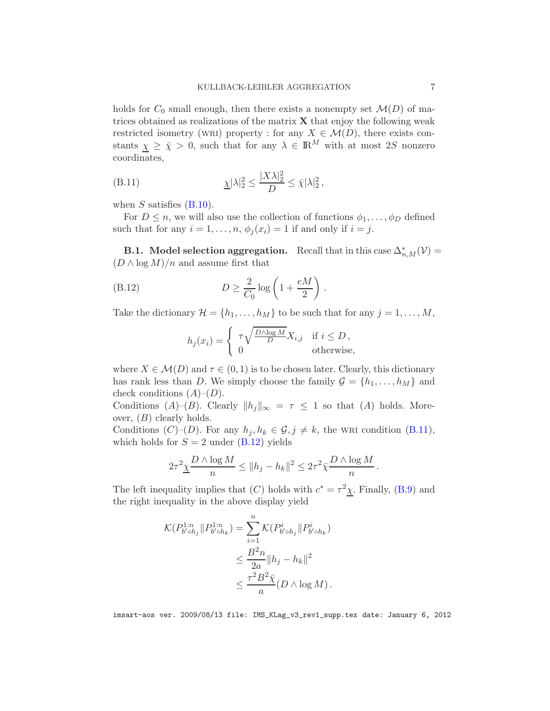holds for  $C_0$  small enough, then there exists a nonempty set  $\mathcal{M}(D)$  of matrices obtained as realizations of the matrix  $X$  that enjoy the following weak restricted isometry (WRI) property : for any  $X \in \mathcal{M}(D)$ , there exists constants  $\chi \geq \bar{\chi} > 0$ , such that for any  $\lambda \in \mathbb{R}^M$  with at most 2S nonzero coordinates,

<span id="page-33-0"></span>(B.11) 
$$
\underline{\chi}|\lambda|_2^2 \le \frac{|X\lambda|_2^2}{D} \le \overline{\chi}|\lambda|_2^2,
$$

when  $S$  satisfies  $(B.10)$ .

For  $D \leq n$ , we will also use the collection of functions  $\phi_1, \ldots, \phi_D$  defined such that for any  $i = 1, \ldots, n, \phi_j(x_i) = 1$  if and only if  $i = j$ .

**B.1.** Model selection aggregation. Recall that in this case  $\Delta_{n,M}^*(\mathcal{V}) =$  $(D \wedge \log M)/n$  and assume first that

(B.12) 
$$
D \ge \frac{2}{C_0} \log \left( 1 + \frac{eM}{2} \right).
$$

Take the dictionary  $\mathcal{H} = \{h_1, \ldots, h_M\}$  to be such that for any  $j = 1, \ldots, M$ ,

<span id="page-33-1"></span>
$$
h_j(x_i) = \begin{cases} \tau \sqrt{\frac{D \wedge \log M}{D}} X_{i,j} & \text{if } i \leq D, \\ 0 & \text{otherwise,} \end{cases}
$$

where  $X \in \mathcal{M}(D)$  and  $\tau \in (0,1)$  is to be chosen later. Clearly, this dictionary has rank less than D. We simply choose the family  $\mathcal{G} = \{h_1, \ldots, h_M\}$  and check conditions  $(A)$ – $(D)$ .

Conditions  $(A)$ – $(B)$ . Clearly  $||h_j||_{\infty} = \tau \leq 1$  so that  $(A)$  holds. Moreover,  $(B)$  clearly holds.

Conditions  $(C)-(D)$ . For any  $h_j, h_k \in \mathcal{G}, j \neq k$ , the WRI condition [\(B.11\)](#page-33-0), which holds for  $S = 2$  under  $(B.12)$  yields

$$
2\tau^2 \underline{\chi} \frac{D \wedge \log M}{n} \le ||h_j - h_k||^2 \le 2\tau^2 \overline{\chi} \frac{D \wedge \log M}{n}.
$$

The left inequality implies that  $(C)$  holds with  $c^* = \tau^2 \chi$ . Finally, [\(B.9\)](#page-32-1) and the right inequality in the above display yield

$$
\mathcal{K}(P_{b' \circ h_j}^{1:n} \| P_{b' \circ h_k}^{1:n}) = \sum_{i=1}^{n} \mathcal{K}(P_{b' \circ h_j}^i \| P_{b' \circ h_k}^i)
$$
  

$$
\leq \frac{B^2 n}{2a} \|h_j - h_k\|^2
$$
  

$$
\leq \frac{\tau^2 B^2 \bar{\chi}}{a} (D \wedge \log M).
$$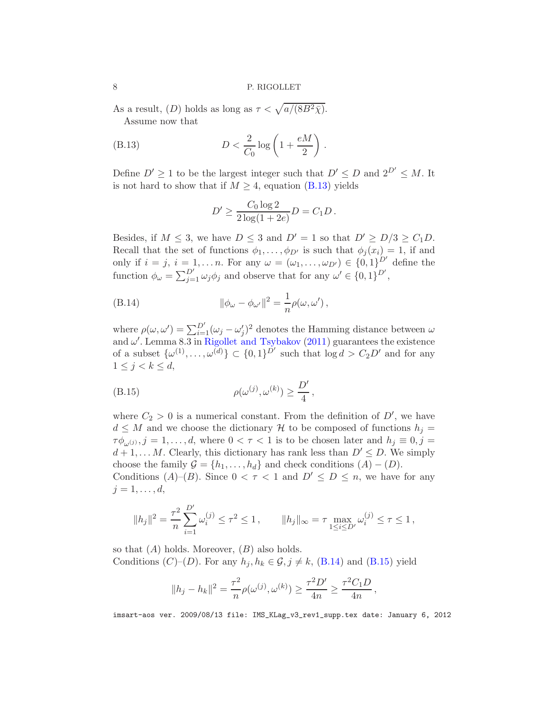As a result, (D) holds as long as  $\tau < \sqrt{a/(8B^2\bar{\chi})}$ . Assume now that

(B.13) 
$$
D < \frac{2}{C_0} \log \left( 1 + \frac{eM}{2} \right)
$$

Define  $D' \geq 1$  to be the largest integer such that  $D' \leq D$  and  $2^{D'} \leq M$ . It is not hard to show that if  $M \geq 4$ , equation [\(B.13\)](#page-34-0) yields

.

<span id="page-34-1"></span><span id="page-34-0"></span>
$$
D' \ge \frac{C_0 \log 2}{2 \log(1 + 2e)} D = C_1 D.
$$

Besides, if  $M \leq 3$ , we have  $D \leq 3$  and  $D' = 1$  so that  $D' \geq D/3 \geq C_1 D$ . Recall that the set of functions  $\phi_1, \ldots, \phi_{D'}$  is such that  $\phi_i(x_i) = 1$ , if and only if  $i = j$ ,  $i = 1, \ldots, n$ . For any  $\omega = (\omega_1, \ldots, \omega_{D'}) \in \{0, 1\}^{D'}$  define the function  $\phi_{\omega} = \sum_{j=1}^{D'} \omega_j \phi_j$  and observe that for any  $\omega' \in \{0,1\}^{D'}$ ,

(B.14) 
$$
\|\phi_{\omega} - \phi_{\omega'}\|^2 = \frac{1}{n}\rho(\omega, \omega'),
$$

where  $\rho(\omega, \omega') = \sum_{i=1}^{D'} (\omega_j - \omega'_j)^2$  denotes the Hamming distance between  $\omega$ and  $\omega'$ . Lemma 8.3 in [Rigollet and Tsybakov](#page-40-2) [\(2011\)](#page-40-2) guarantees the existence of a subset  $\{\omega^{(1)}, \ldots, \omega^{(d)}\} \subset \{0,1\}^{\tilde{D}'}$  such that  $\log d > C_2 D'$  and for any  $1 \leq j < k \leq d$ ,

<span id="page-34-2"></span>
$$
\rho(\omega^{(j)}, \omega^{(k)}) \ge \frac{D'}{4},
$$

where  $C_2 > 0$  is a numerical constant. From the definition of  $D'$ , we have  $d \leq M$  and we choose the dictionary H to be composed of functions  $h_j =$  $\tau\phi_{\omega^{(j)}}, j = 1, \ldots, d$ , where  $0 < \tau < 1$  is to be chosen later and  $h_j \equiv 0, j = 1$  $d+1,\ldots M$ . Clearly, this dictionary has rank less than  $D' \leq D$ . We simply choose the family  $\mathcal{G} = \{h_1, \ldots, h_d\}$  and check conditions  $(A) - (D)$ .

Conditions  $(A)$ – $(B)$ . Since  $0 < \tau < 1$  and  $D' \le D \le n$ , we have for any  $j=1,\ldots,d,$ 

$$
||h_j||^2 = \frac{\tau^2}{n} \sum_{i=1}^{D'} \omega_i^{(j)} \le \tau^2 \le 1, \qquad ||h_j||_{\infty} = \tau \max_{1 \le i \le D'} \omega_i^{(j)} \le \tau \le 1,
$$

so that  $(A)$  holds. Moreover,  $(B)$  also holds. Conditions  $(C)-(D)$ . For any  $h_j, h_k \in \mathcal{G}, j \neq k$ ,  $(B.14)$  and  $(B.15)$  yield

$$
||h_j - h_k||^2 = \frac{\tau^2}{n} \rho(\omega^{(j)}, \omega^{(k)}) \ge \frac{\tau^2 D'}{4n} \ge \frac{\tau^2 C_1 D}{4n},
$$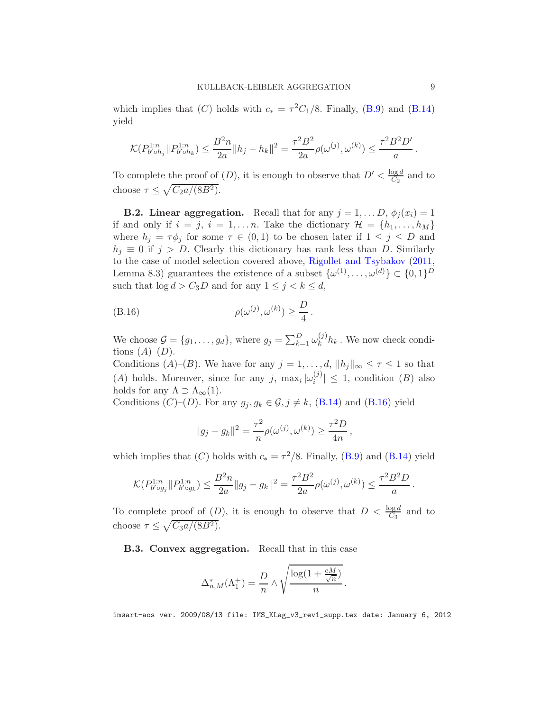which implies that  $(C)$  holds with  $c_* = \tau^2 C_1/8$ . Finally,  $(B.9)$  and  $(B.14)$ yield

$$
\mathcal{K}(P_{b' \circ h_j}^{1:n} \| P_{b' \circ h_k}^{1:n}) \le \frac{B^2 n}{2a} \|h_j - h_k\|^2 = \frac{\tau^2 B^2}{2a} \rho(\omega^{(j)}, \omega^{(k)}) \le \frac{\tau^2 B^2 D'}{a}
$$

To complete the proof of  $(D)$ , it is enough to observe that  $D' < \frac{\log d}{C_2}$  $rac{\log a}{C_2}$  and to choose  $\tau \leq \sqrt{C_2 a/(8B^2)}$ .

**B.2. Linear aggregation.** Recall that for any  $j = 1, \ldots, D, \phi_i(x_i) = 1$ if and only if  $i = j$ ,  $i = 1, \ldots n$ . Take the dictionary  $\mathcal{H} = \{h_1, \ldots, h_M\}$ where  $h_j = \tau \phi_j$  for some  $\tau \in (0,1)$  to be chosen later if  $1 \leq j \leq D$  and  $h_j \equiv 0$  if  $j > D$ . Clearly this dictionary has rank less than D. Similarly to the case of model selection covered above, [Rigollet and Tsybakov](#page-40-2) [\(2011](#page-40-2), Lemma 8.3) guarantees the existence of a subset  $\{\omega^{(1)}, \ldots, \omega^{(d)}\} \subset \{0, 1\}^D$ such that  $\log d > C_3D$  and for any  $1 \leq j < k \leq d$ ,

$$
\rho(\omega^{(j)}, \omega^{(k)}) \ge \frac{D}{4}.
$$

We choose  $\mathcal{G} = \{g_1, \ldots, g_d\}$ , where  $g_j = \sum_{k=1}^D \omega_k^{(j)}$  $k^{(j)}h_k$ . We now check conditions  $(A)$ – $(D)$ .

Conditions  $(A)$ – $(B)$ . We have for any  $j = 1, ..., d$ ,  $||h_j||_{\infty} \leq \tau \leq 1$  so that (A) holds. Moreover, since for any j,  $\max_i |\omega_i^{(j)}\rangle$  $||y|| \leq 1$ , condition  $(B)$  also holds for any  $\Lambda \supset \Lambda_{\infty}(1)$ .

Conditions  $(C)-(D)$ . For any  $g_j, g_k \in \mathcal{G}, j \neq k$ ,  $(B.14)$  and  $(B.16)$  yield

<span id="page-35-0"></span>
$$
||g_j - g_k||^2 = \frac{\tau^2}{n} \rho(\omega^{(j)}, \omega^{(k)}) \ge \frac{\tau^2 D}{4n},
$$

which implies that  $(C)$  holds with  $c_* = \tau^2/8$ . Finally, [\(B.9\)](#page-32-1) and [\(B.14\)](#page-34-1) yield

$$
\mathcal{K}(P_{b' \circ g_j}^{1:n} \| P_{b' \circ g_k}^{1:n}) \le \frac{B^2 n}{2a} \| g_j - g_k \|^2 = \frac{\tau^2 B^2}{2a} \rho(\omega^{(j)}, \omega^{(k)}) \le \frac{\tau^2 B^2 D}{a}.
$$

To complete proof of  $(D)$ , it is enough to observe that  $D < \frac{\log d}{C_3}$  and to choose  $\tau \leq \sqrt{C_3 a/(8B^2)}$ .

B.3. Convex aggregation. Recall that in this case

$$
\Delta_{n,M}^*(\Lambda_1^+) = \frac{D}{n} \wedge \sqrt{\frac{\log(1 + \frac{eM}{\sqrt{n}})}{n}}.
$$

imsart-aos ver. 2009/08/13 file: IMS\_KLag\_v3\_rev1\_supp.tex date: January 6, 2012

.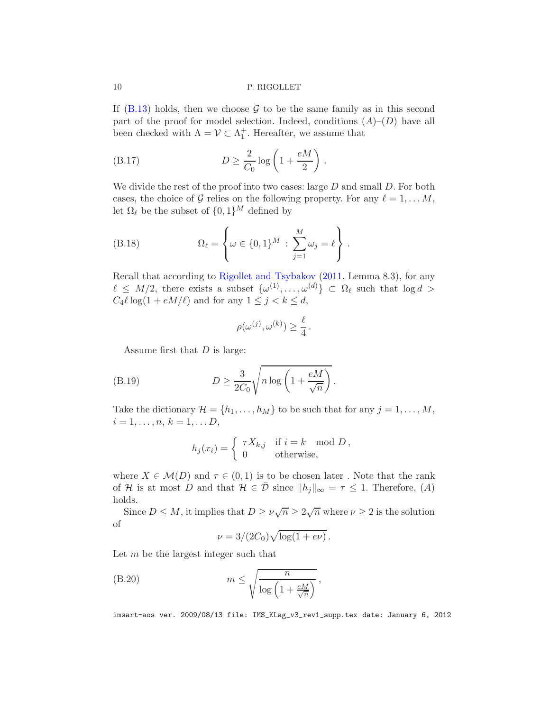If  $(B.13)$  holds, then we choose  $G$  to be the same family as in this second part of the proof for model selection. Indeed, conditions  $(A)$ – $(D)$  have all been checked with  $\Lambda = \mathcal{V} \subset \Lambda_1^+$ . Hereafter, we assume that

<span id="page-36-0"></span>(B.17) 
$$
D \ge \frac{2}{C_0} \log \left( 1 + \frac{eM}{2} \right).
$$

We divide the rest of the proof into two cases: large  $D$  and small  $D$ . For both cases, the choice of G relies on the following property. For any  $\ell = 1, \ldots M$ , let  $\Omega_{\ell}$  be the subset of  $\{0,1\}^{M}$  defined by

(B.18) 
$$
\Omega_{\ell} = \left\{ \omega \in \{0, 1\}^{M} : \sum_{j=1}^{M} \omega_{j} = \ell \right\}.
$$

Recall that according to [Rigollet and Tsybakov](#page-40-2) [\(2011](#page-40-2), Lemma 8.3), for any  $\ell \leq M/2$ , there exists a subset  $\{\omega^{(1)}, \ldots, \omega^{(d)}\} \subset \Omega_{\ell}$  such that  $\log d >$  $C_4 \ell \log(1 + eM/\ell)$  and for any  $1 \leq j < k \leq d$ ,

<span id="page-36-2"></span>
$$
\rho(\omega^{(j)}, \omega^{(k)}) \ge \frac{\ell}{4} \, .
$$

Assume first that  $D$  is large:

(B.19) 
$$
D \ge \frac{3}{2C_0} \sqrt{n \log \left(1 + \frac{eM}{\sqrt{n}}\right)}.
$$

Take the dictionary  $\mathcal{H} = \{h_1, \ldots, h_M\}$  to be such that for any  $j = 1, \ldots, M$ ,  $i = 1, \ldots, n, k = 1, \ldots D,$ 

$$
h_j(x_i) = \begin{cases} \tau X_{k,j} & \text{if } i = k \mod D, \\ 0 & \text{otherwise,} \end{cases}
$$

where  $X \in \mathcal{M}(D)$  and  $\tau \in (0,1)$  is to be chosen later. Note that the rank of H is at most D and that  $H \in \overline{\mathcal{D}}$  since  $||h_j||_{\infty} = \tau \leq 1$ . Therefore,  $(A)$ holds.

Since  $D \leq M$ , it implies that  $D \geq \nu \sqrt{n} \geq 2\sqrt{n}$  where  $\nu \geq 2$  is the solution of

<span id="page-36-1"></span>
$$
\nu = 3/(2C_0)\sqrt{\log(1+e\nu)}.
$$

Let m be the largest integer such that

(B.20) 
$$
m \leq \sqrt{\frac{n}{\log\left(1 + \frac{eM}{\sqrt{n}}\right)}},
$$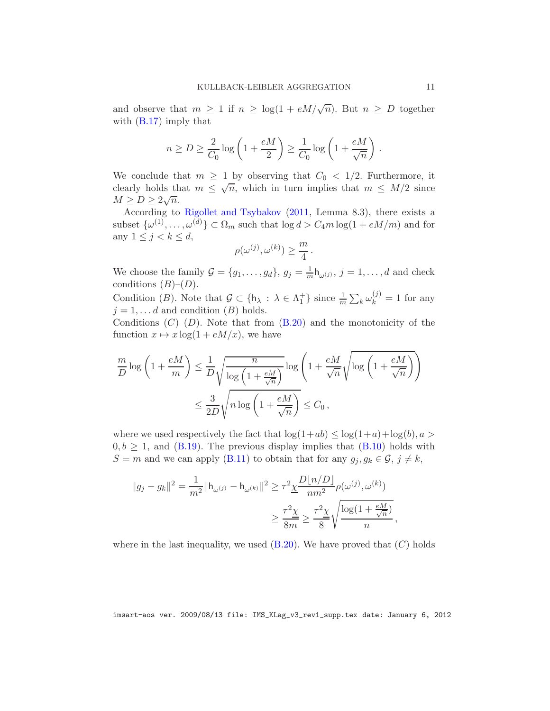and observe that  $m \geq 1$  if  $n \geq \log(1 + eM/\sqrt{n})$ . But  $n \geq D$  together with  $(B.17)$  imply that

$$
n \ge D \ge \frac{2}{C_0} \log \left( 1 + \frac{eM}{2} \right) \ge \frac{1}{C_0} \log \left( 1 + \frac{eM}{\sqrt{n}} \right)
$$

We conclude that  $m \geq 1$  by observing that  $C_0 < 1/2$ . Furthermore, it clearly holds that  $m \leq \sqrt{n}$ , which in turn implies that  $m \leq M/2$  since  $M \geq D \geq 2\sqrt{n}.$ 

According to [Rigollet and Tsybakov](#page-40-2) [\(2011](#page-40-2), Lemma 8.3), there exists a subset  $\{\omega^{(1)}, \ldots, \omega^{(d)}\} \subset \Omega_m$  such that  $\log d > C_4 m \log(1 + \epsilon M/m)$  and for any  $1 \leq j < k \leq d$ ,

$$
\rho(\omega^{(j)}, \omega^{(k)}) \ge \frac{m}{4}.
$$

We choose the family  $\mathcal{G} = \{g_1, \ldots, g_d\}, g_j = \frac{1}{m} \mathsf{h}_{\omega^{(j)}}, j = 1, \ldots, d$  and check conditions  $(B)$ – $(D)$ .

Condition (B). Note that  $\mathcal{G} \subset \{\mathsf{h}_{\lambda} : \lambda \in \Lambda_1^+\}$  since  $\frac{1}{m} \sum_k \omega_k^{(j)} = 1$  for any  $j = 1, \ldots d$  and condition  $(B)$  holds.

Conditions  $(C)-(D)$ . Note that from  $(B.20)$  and the monotonicity of the function  $x \mapsto x \log(1 + eM/x)$ , we have

$$
\frac{m}{D} \log \left( 1 + \frac{eM}{m} \right) \le \frac{1}{D} \sqrt{\frac{n}{\log \left( 1 + \frac{eM}{\sqrt{n}} \right)}} \log \left( 1 + \frac{eM}{\sqrt{n}} \sqrt{\log \left( 1 + \frac{eM}{\sqrt{n}} \right)} \right)
$$

$$
\le \frac{3}{2D} \sqrt{n \log \left( 1 + \frac{eM}{\sqrt{n}} \right)} \le C_0,
$$

where we used respectively the fact that  $\log(1+ab) \leq \log(1+a) + \log(b), a >$  $0, b \geq 1$ , and [\(B.19\)](#page-36-2). The previous display implies that [\(B.10\)](#page-32-0) holds with  $S = m$  and we can apply [\(B.11\)](#page-33-0) to obtain that for any  $g_j, g_k \in \mathcal{G}, j \neq k$ ,

$$
||g_j - g_k||^2 = \frac{1}{m^2} ||h_{\omega^{(j)}} - h_{\omega^{(k)}}||^2 \ge \tau^2 \underline{\chi} \frac{D[n/D]}{nm^2} \rho(\omega^{(j)}, \omega^{(k)})
$$
  

$$
\ge \frac{\tau^2 \underline{\chi}}{8m} \ge \frac{\tau^2 \underline{\chi}}{8} \sqrt{\frac{\log(1 + \frac{eM}{\sqrt{n}})}{n}},
$$

where in the last inequality, we used  $(B.20)$ . We have proved that  $(C)$  holds

imsart-aos ver. 2009/08/13 file: IMS\_KLag\_v3\_rev1\_supp.tex date: January 6, 2012

.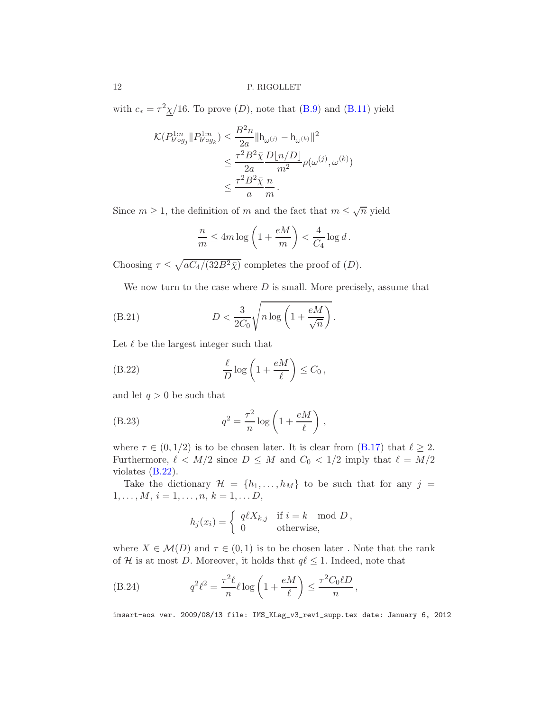with  $c_* = \tau^2 \chi/16$ . To prove  $(D)$ , note that  $(B.9)$  and  $(B.11)$  yield

$$
\mathcal{K}(P_{b' \circ g_j}^{1:n} || P_{b' \circ g_k}^{1:n}) \leq \frac{B^2 n}{2a} ||h_{\omega^{(j)}} - h_{\omega^{(k)}}||^2
$$
  

$$
\leq \frac{\tau^2 B^2 \bar{\chi}}{2a} \frac{D \lfloor n/D \rfloor}{m^2} \rho(\omega^{(j)}, \omega^{(k)})
$$
  

$$
\leq \frac{\tau^2 B^2 \bar{\chi}}{a} \frac{n}{m}.
$$

Since  $m \geq 1$ , the definition of m and the fact that  $m \leq \sqrt{n}$  yield

<span id="page-38-1"></span>
$$
\frac{n}{m} \le 4m \log \left( 1 + \frac{eM}{m} \right) < \frac{4}{C_4} \log d \, .
$$

Choosing  $\tau \leq \sqrt{aC_4/(32B^2\bar{\chi})}$  completes the proof of  $(D)$ .

We now turn to the case where  $D$  is small. More precisely, assume that

(B.21) 
$$
D < \frac{3}{2C_0} \sqrt{n \log \left(1 + \frac{eM}{\sqrt{n}}\right)}.
$$

Let  $\ell$  be the largest integer such that

<span id="page-38-0"></span>(B.22) 
$$
\frac{\ell}{D}\log\left(1+\frac{eM}{\ell}\right)\leq C_0,
$$

and let  $q > 0$  be such that

(B.23) 
$$
q^2 = \frac{\tau^2}{n} \log \left( 1 + \frac{eM}{\ell} \right),
$$

where  $\tau \in (0, 1/2)$  is to be chosen later. It is clear from  $(B.17)$  that  $\ell \geq 2$ . Furthermore,  $\ell < M/2$  since  $D \leq M$  and  $C_0 < 1/2$  imply that  $\ell = M/2$ violates [\(B.22\)](#page-38-0).

Take the dictionary  $\mathcal{H} = \{h_1, \ldots, h_M\}$  to be such that for any  $j =$  $1, \ldots, M, i = 1, \ldots, n, k = 1, \ldots D,$ 

$$
h_j(x_i) = \begin{cases} q\ell X_{k,j} & \text{if } i = k \mod D, \\ 0 & \text{otherwise,} \end{cases}
$$

where  $X \in \mathcal{M}(D)$  and  $\tau \in (0,1)$  is to be chosen later. Note that the rank of H is at most D. Moreover, it holds that  $q\ell \leq 1$ . Indeed, note that

(B.24) 
$$
q^2 \ell^2 = \frac{\tau^2 \ell}{n} \ell \log \left( 1 + \frac{eM}{\ell} \right) \le \frac{\tau^2 C_0 \ell D}{n},
$$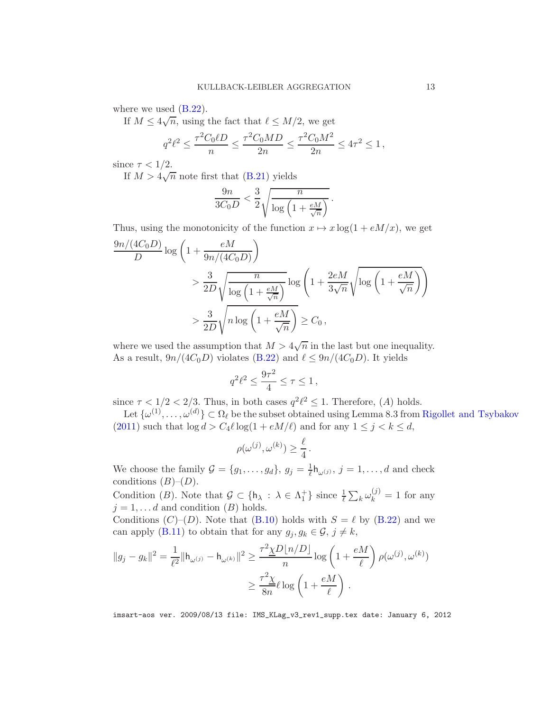where we used  $(B.22)$ .

If  $M \leq 4\sqrt{n}$ , using the fact that  $\ell \leq M/2$ , we get

$$
q^2\ell^2 \le \frac{\tau^2 C_0 \ell D}{n} \le \frac{\tau^2 C_0 M D}{2n} \le \frac{\tau^2 C_0 M^2}{2n} \le 4\tau^2 \le 1,
$$

since  $\tau < 1/2$ .

If  $M > 4\sqrt{n}$  note first that [\(B.21\)](#page-38-1) yields

$$
\frac{9n}{3C_0 D} < \frac{3}{2} \sqrt{\frac{n}{\log\left(1 + \frac{eM}{\sqrt{n}}\right)}}.
$$

Thus, using the monotonicity of the function  $x \mapsto x \log(1 + eM/x)$ , we get

$$
\frac{9n/(4C_0D)}{D}\log\left(1+\frac{eM}{9n/(4C_0D)}\right)
$$
  
> 
$$
\frac{3}{2D}\sqrt{\frac{n}{\log\left(1+\frac{eM}{\sqrt{n}}\right)}}\log\left(1+\frac{2eM}{3\sqrt{n}}\sqrt{\log\left(1+\frac{eM}{\sqrt{n}}\right)}\right)
$$
  
> 
$$
\frac{3}{2D}\sqrt{n\log\left(1+\frac{eM}{\sqrt{n}}\right)} \ge C_0,
$$

where we used the assumption that  $M > 4\sqrt{n}$  in the last but one inequality. As a result,  $9n/(4C_0D)$  violates [\(B.22\)](#page-38-0) and  $\ell \leq 9n/(4C_0D)$ . It yields

$$
q^2 \ell^2 \le \frac{9\tau^2}{4} \le \tau \le 1 \,,
$$

since  $\tau < 1/2 < 2/3$ . Thus, in both cases  $q^2 \ell^2 \leq 1$ . Therefore, (A) holds.

Let  $\{\omega^{(1)}, \ldots, \omega^{(d)}\} \subset \Omega_\ell$  be the subset obtained using Lemma 8.3 from [Rigollet and Tsybakov](#page-40-2) [\(2011\)](#page-40-2) such that  $\log d > C_4 \ell \log(1 + eM/\ell)$  and for any  $1 \leq j < k \leq d$ ,

$$
\rho(\omega^{(j)}, \omega^{(k)}) \ge \frac{\ell}{4}.
$$

We choose the family  $\mathcal{G} = \{g_1, \ldots, g_d\}, g_j = \frac{1}{\ell} h_{\omega^{(j)}}, j = 1, \ldots, d$  and check conditions  $(B)$ – $(D)$ .

Condition (B). Note that  $\mathcal{G} \subset \{\mathsf{h}_{\lambda} : \lambda \in \Lambda_1^+\}$  since  $\frac{1}{\ell} \sum_k \omega_k^{(j)} = 1$  for any  $j = 1, \ldots d$  and condition  $(B)$  holds.

Conditions  $(C)$ – $(D)$ . Note that  $(B.10)$  holds with  $S = \ell$  by  $(B.22)$  and we can apply [\(B.11\)](#page-33-0) to obtain that for any  $g_j, g_k \in \mathcal{G}, j \neq k$ ,

$$
||g_j - g_k||^2 = \frac{1}{\ell^2} ||h_{\omega^{(j)}} - h_{\omega^{(k)}}||^2 \ge \frac{\tau^2 \underline{\chi} D[n/D]}{n} \log \left(1 + \frac{eM}{\ell}\right) \rho(\omega^{(j)}, \omega^{(k)})
$$

$$
\ge \frac{\tau^2 \underline{\chi}}{8n} \ell \log \left(1 + \frac{eM}{\ell}\right).
$$